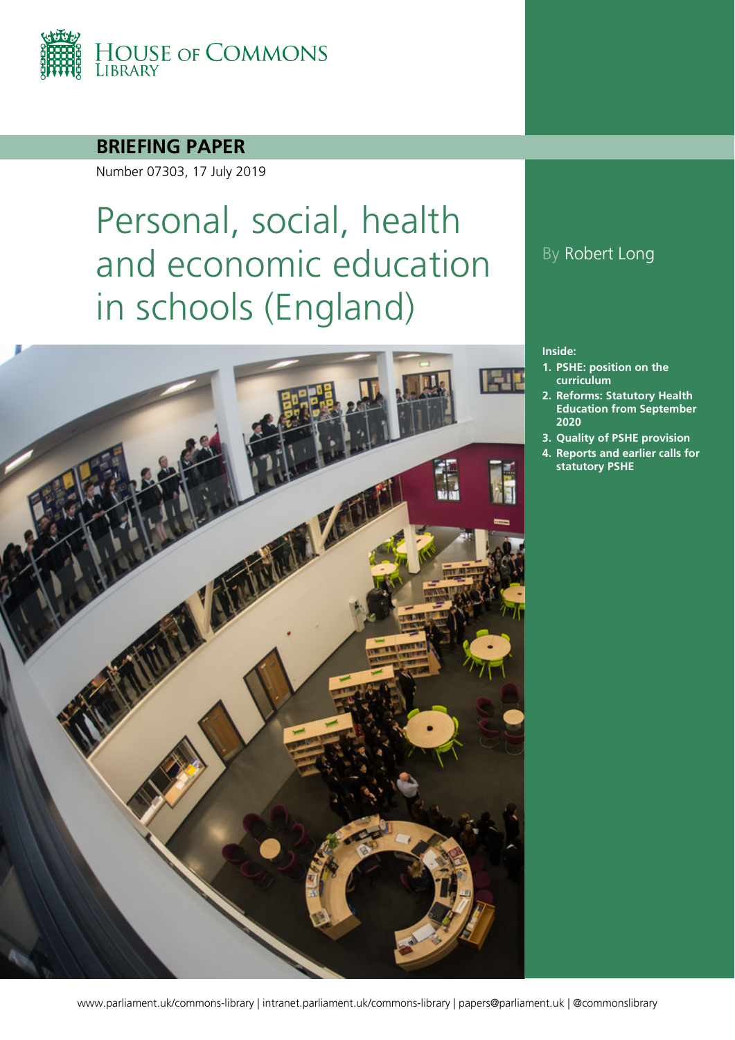

### **BRIEFING PAPER**

Number 07303, 17 July 2019

# Personal, social, health and economic education in schools (England)



### By Robert Long

#### **Inside:**

- **1. [PSHE: position on the](#page-3-0)  [curriculum](#page-3-0)**
- **2. [Reforms: Statutory Health](#page-6-0)  [Education from September](#page-6-0)  [2020](#page-6-0)**
- **3. [Quality of PSHE provision](#page-11-0)**
- **4. [Reports and earlier calls for](#page-13-0)  [statutory PSHE](#page-13-0)**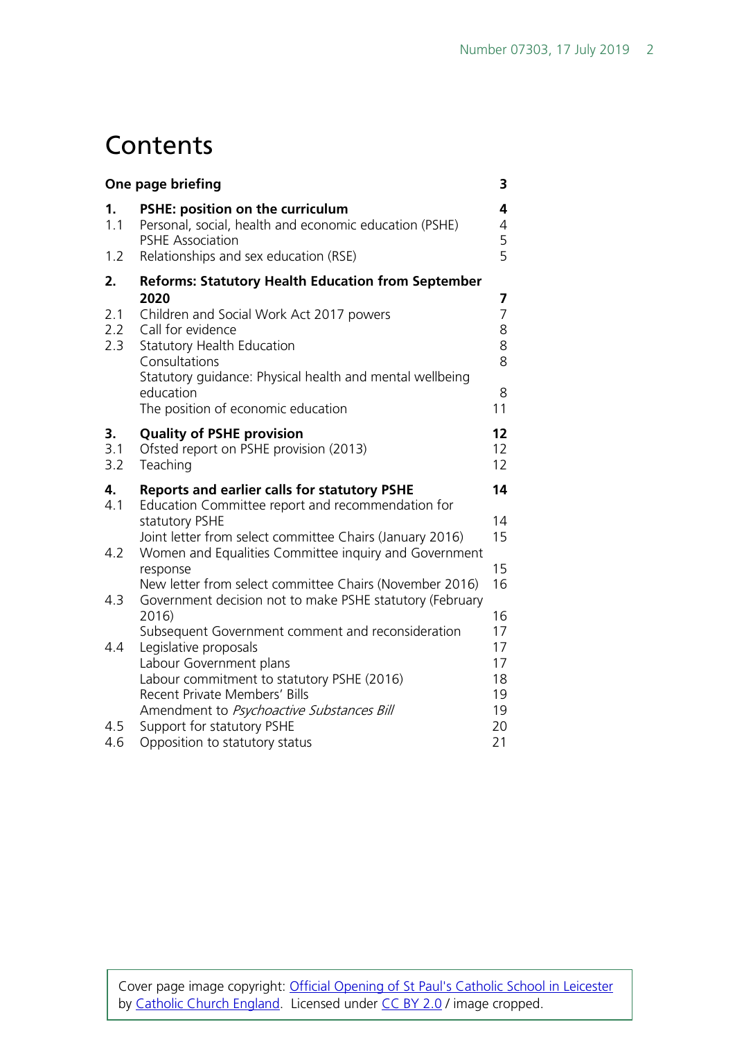## **Contents**

| One page briefing       |                                                                                                                                                                                                                                                                                                         |                                               |
|-------------------------|---------------------------------------------------------------------------------------------------------------------------------------------------------------------------------------------------------------------------------------------------------------------------------------------------------|-----------------------------------------------|
| 1.<br>1.1<br>1.2        | PSHE: position on the curriculum<br>Personal, social, health and economic education (PSHE)<br><b>PSHE Association</b><br>Relationships and sex education (RSE)                                                                                                                                          | 4<br>$\overline{4}$<br>5<br>5                 |
| 2.<br>2.1<br>2.2<br>2.3 | <b>Reforms: Statutory Health Education from September</b><br>2020<br>Children and Social Work Act 2017 powers<br>Call for evidence<br><b>Statutory Health Education</b><br>Consultations<br>Statutory guidance: Physical health and mental wellbeing<br>education<br>The position of economic education | 7<br>$\overline{7}$<br>8<br>8<br>8<br>8<br>11 |
| 3.<br>3.1<br>3.2        | <b>Quality of PSHE provision</b><br>Ofsted report on PSHE provision (2013)<br>Teaching                                                                                                                                                                                                                  | 12<br>12<br>12                                |
| 4.<br>4.1<br>4.2        | <b>Reports and earlier calls for statutory PSHE</b><br>Education Committee report and recommendation for<br>statutory PSHE<br>Joint letter from select committee Chairs (January 2016)<br>Women and Equalities Committee inquiry and Government                                                         | 14<br>14<br>15<br>15                          |
| 4.3                     | response<br>New letter from select committee Chairs (November 2016)<br>Government decision not to make PSHE statutory (February<br>2016)<br>Subsequent Government comment and reconsideration                                                                                                           | 16<br>16<br>17                                |
| 4.4<br>4.5              | Legislative proposals<br>Labour Government plans<br>Labour commitment to statutory PSHE (2016)<br>Recent Private Members' Bills<br>Amendment to Psychoactive Substances Bill<br>Support for statutory PSHE                                                                                              | 17<br>17<br>18<br>19<br>19<br>20              |
| 4.6                     | Opposition to statutory status                                                                                                                                                                                                                                                                          | 21                                            |

Cover page image copyright: *Official Opening of St Paul's Catholic School in Leicester* by [Catholic Church England.](https://www.flickr.com/photos/catholicism/) Licensed under [CC BY 2.0](https://creativecommons.org/licenses/by-nc-sa/2.0/) / image cropped.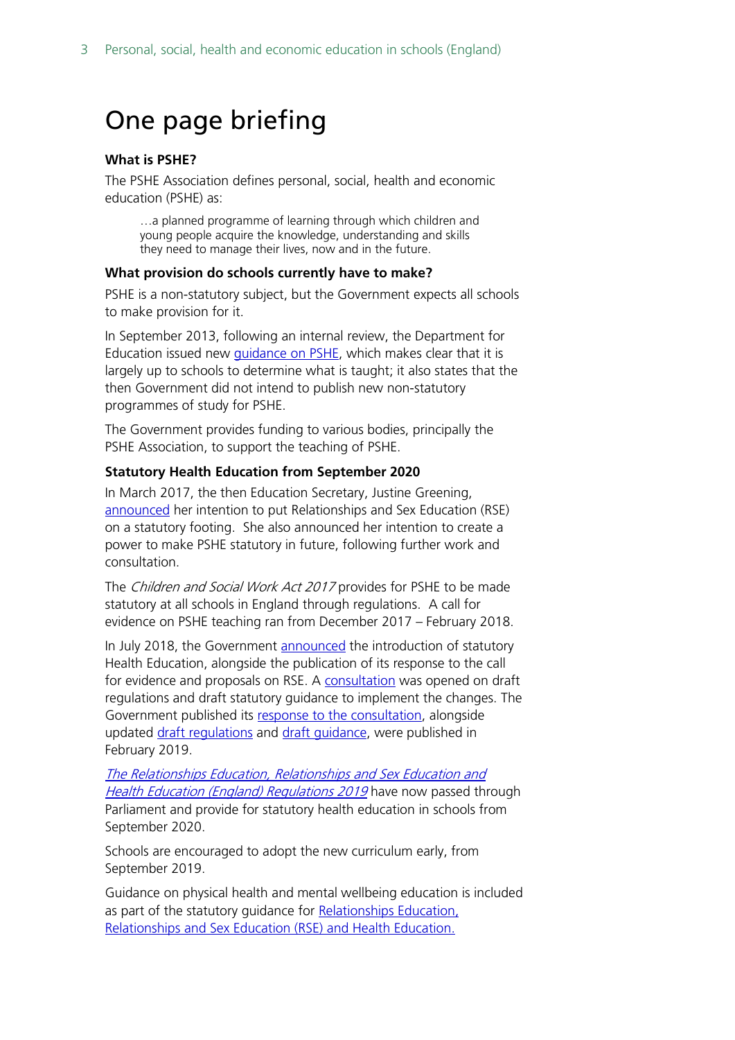## <span id="page-2-0"></span>One page briefing

#### **What is PSHE?**

The PSHE Association defines personal, social, health and economic education (PSHE) as:

…a planned programme of learning through which children and young people acquire the knowledge, understanding and skills they need to manage their lives, now and in the future.

#### **What provision do schools currently have to make?**

PSHE is a non-statutory subject, but the Government expects all schools to make provision for it.

In September 2013, following an internal review, the Department for Education issued new [guidance on PSHE,](https://www.gov.uk/government/publications/personal-social-health-and-economic-education-pshe/personal-social-health-and-economic-pshe-education%23contents) which makes clear that it is largely up to schools to determine what is taught; it also states that the then Government did not intend to publish new non-statutory programmes of study for PSHE.

The Government provides funding to various bodies, principally the PSHE Association, to support the teaching of PSHE.

#### **Statutory Health Education from September 2020**

In March 2017, the then Education Secretary, Justine Greening, [announced](http://www.parliament.uk/business/publications/written-questions-answers-statements/written-statement/Commons/2017-03-01/HCWS509/) her intention to put Relationships and Sex Education (RSE) on a statutory footing. She also announced her intention to create a power to make PSHE statutory in future, following further work and consultation.

The Children and Social Work Act 2017 provides for PSHE to be made statutory at all schools in England through regulations. A call for evidence on PSHE teaching ran from December 2017 – February 2018.

In July 2018, the Government [announced](https://www.gov.uk/government/news/new-relationships-and-health-education-in-schools) the introduction of statutory Health Education, alongside the publication of its response to the call for evidence and proposals on RSE. A [consultation](https://consult.education.gov.uk/pshe/relationships-education-rse-health-education/) was opened on draft regulations and draft statutory guidance to implement the changes. The Government published its [response to the consultation,](https://www.gov.uk/government/consultations/relationships-and-sex-education-and-health-education) alongside updated [draft regulations](https://assets.publishing.service.gov.uk/government/uploads/system/uploads/attachment_data/file/780972/updated_draft_regulations_-_Relationships_education__relationships_and_sex_education_and_health_education.pdf) and [draft guidance,](https://assets.publishing.service.gov.uk/government/uploads/system/uploads/attachment_data/file/781150/Draft_guidance_Relationships_Education__Relationships_and_Sex_Education__RSE__and_Health_Education2.pdf) were published in February 2019.

[The Relationships Education, Relationships and Sex Education and](http://www.legislation.gov.uk/uksi/2019/924/introduction/made)  [Health Education \(England\) Regulations 2019](http://www.legislation.gov.uk/uksi/2019/924/introduction/made) have now passed through Parliament and provide for statutory health education in schools from September 2020.

Schools are encouraged to adopt the new curriculum early, from September 2019.

Guidance on physical health and mental wellbeing education is included as part of the statutory guidance for Relationships Education, [Relationships and Sex Education \(RSE\) and Health Education.](https://www.gov.uk/government/publications/relationships-education-relationships-and-sex-education-rse-and-health-education)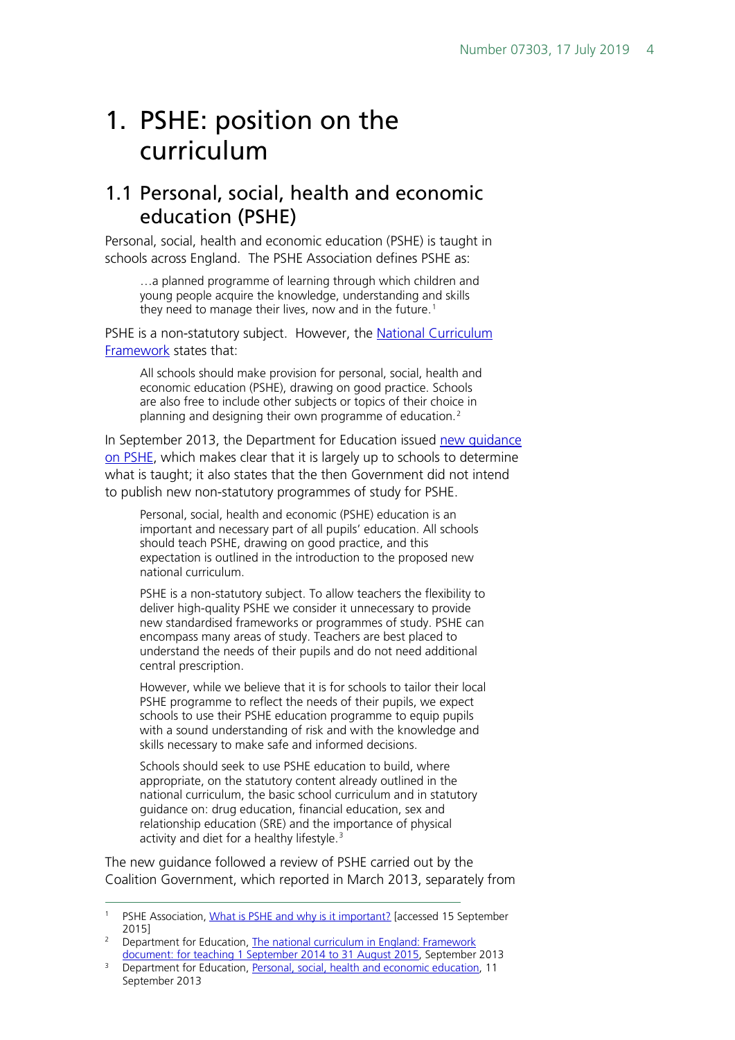## <span id="page-3-0"></span>1. PSHE: position on the curriculum

### <span id="page-3-1"></span>1.1 Personal, social, health and economic education (PSHE)

Personal, social, health and economic education (PSHE) is taught in schools across England. The PSHE Association defines PSHE as:

…a planned programme of learning through which children and young people acquire the knowledge, understanding and skills they need to manage their lives, now and in the future. [1](#page-3-2)

PSHE is a non-statutory subject. However, the [National Curriculum](https://www.gov.uk/government/uploads/system/uploads/attachment_data/file/339805/MASTER_final_national_curriculum_until_sept_2015_11_9_13.pdf)  [Framework](https://www.gov.uk/government/uploads/system/uploads/attachment_data/file/339805/MASTER_final_national_curriculum_until_sept_2015_11_9_13.pdf) states that:

All schools should make provision for personal, social, health and economic education (PSHE), drawing on good practice. Schools are also free to include other subjects or topics of their choice in planning and designing their own programme of education.[2](#page-3-3)

In September 2013, the Department for Education issued new quidance [on PSHE,](https://www.gov.uk/government/publications/personal-social-health-and-economic-education-pshe/personal-social-health-and-economic-pshe-education#contents) which makes clear that it is largely up to schools to determine what is taught; it also states that the then Government did not intend to publish new non-statutory programmes of study for PSHE.

Personal, social, health and economic (PSHE) education is an important and necessary part of all pupils' education. All schools should teach PSHE, drawing on good practice, and this expectation is outlined in the introduction to the proposed new national curriculum.

PSHE is a non-statutory subject. To allow teachers the flexibility to deliver high-quality PSHE we consider it unnecessary to provide new standardised frameworks or programmes of study. PSHE can encompass many areas of study. Teachers are best placed to understand the needs of their pupils and do not need additional central prescription.

However, while we believe that it is for schools to tailor their local PSHE programme to reflect the needs of their pupils, we expect schools to use their PSHE education programme to equip pupils with a sound understanding of risk and with the knowledge and skills necessary to make safe and informed decisions.

Schools should seek to use PSHE education to build, where appropriate, on the statutory content already outlined in the national curriculum, the basic school curriculum and in statutory guidance on: drug education, financial education, sex and relationship education (SRE) and the importance of physical activity and diet for a healthy lifestyle.<sup>[3](#page-3-4)</sup>

The new guidance followed a review of PSHE carried out by the Coalition Government, which reported in March 2013, separately from

<span id="page-3-2"></span><sup>&</sup>lt;sup>1</sup> PSHE Association, [What is PSHE and why is it important?](https://www.pshe-association.org.uk/content.aspx?CategoryID=1043) [accessed 15 September 2015]

<span id="page-3-3"></span><sup>&</sup>lt;sup>2</sup> Department for Education, The national curriculum in England: Framework [document: for teaching 1 September 2014 to 31 August 2015,](https://www.gov.uk/government/uploads/system/uploads/attachment_data/file/339805/MASTER_final_national_curriculum_until_sept_2015_11_9_13.pdf) September 2013

<span id="page-3-4"></span><sup>&</sup>lt;sup>3</sup> Department for Education, [Personal, social, health and economic education,](https://www.gov.uk/government/publications/personal-social-health-and-economic-education-pshe/personal-social-health-and-economic-pshe-education#personal-social-health-and-economic-education) 11 September 2013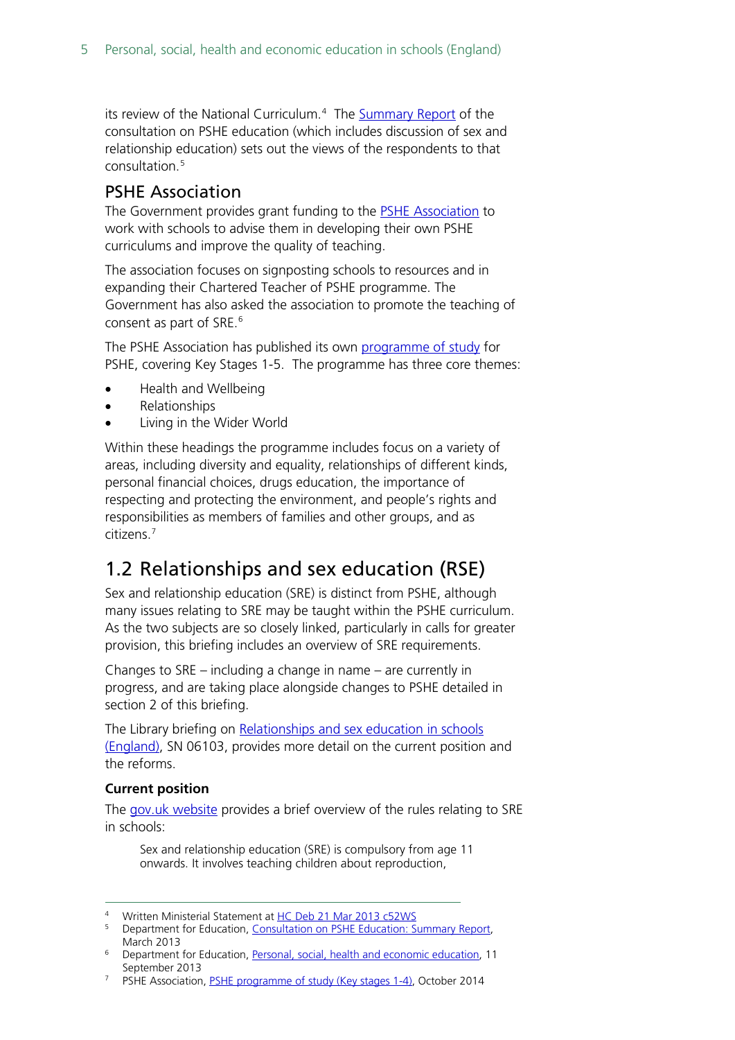its review of the National Curriculum.<sup>[4](#page-4-2)</sup> The [Summary Report](http://media.education.gov.uk/assets/files/pdf/p/pshe%20cons%20report.pdf) of the consultation on PSHE education (which includes discussion of sex and relationship education) sets out the views of the respondents to that consultation.[5](#page-4-3)

### <span id="page-4-0"></span>PSHE Association

The Government provides grant funding to the [PSHE Association](http://www.pshe-association.org.uk/) to work with schools to advise them in developing their own PSHE curriculums and improve the quality of teaching.

The association focuses on signposting schools to resources and in expanding their Chartered Teacher of PSHE programme. The Government has also asked the association to promote the teaching of consent as part of SRE.<sup>[6](#page-4-4)</sup>

The PSHE Association has published its own [programme of study](https://www.pshe-association.org.uk/resources_search_details.aspx?ResourceId=495&Keyword=programme&SubjectID=0&LevelID=0&ResourceTypeID=3&SuggestedUseID=0) for PSHE, covering Key Stages 1-5. The programme has three core themes:

- Health and Wellbeing
- Relationships
- Living in the Wider World

Within these headings the programme includes focus on a variety of areas, including diversity and equality, relationships of different kinds, personal financial choices, drugs education, the importance of respecting and protecting the environment, and people's rights and responsibilities as members of families and other groups, and as citizens. [7](#page-4-5)

### <span id="page-4-1"></span>1.2 Relationships and sex education (RSE)

Sex and relationship education (SRE) is distinct from PSHE, although many issues relating to SRE may be taught within the PSHE curriculum. As the two subjects are so closely linked, particularly in calls for greater provision, this briefing includes an overview of SRE requirements.

Changes to SRE – including a change in name – are currently in progress, and are taking place alongside changes to PSHE detailed in section 2 of this briefing.

The Library briefing on [Relationships and sex education](http://www.parliament.uk/briefing-papers/SN06103/sex-and-relationship-education-in-schools) in schools [\(England\),](http://www.parliament.uk/briefing-papers/SN06103/sex-and-relationship-education-in-schools) SN 06103, provides more detail on the current position and the reforms.

#### **Current position**

The [gov.uk website](https://www.gov.uk/national-curriculum/other-compulsory-subjects) provides a brief overview of the rules relating to SRE in schools:

Sex and relationship education (SRE) is compulsory from age 11 onwards. It involves teaching children about reproduction,

- Written Ministerial Statement a[t HC Deb 21 Mar 2013 c52WS](http://www.publications.parliament.uk/pa/cm201213/cmhansrd/cm130321/wmstext/130321m0001.htm#13032159000004)
- <span id="page-4-3"></span><span id="page-4-2"></span><sup>5</sup> Department for Education, [Consultation on PSHE Education: Summary Report,](http://media.education.gov.uk/assets/files/pdf/p/pshe%20cons%20report.pdf)  March 2013
- <span id="page-4-4"></span><sup>6</sup> Department for Education, [Personal, social, health and economic education,](https://www.gov.uk/government/publications/personal-social-health-and-economic-education-pshe/personal-social-health-and-economic-pshe-education#contents) 11 September 2013
- <span id="page-4-5"></span><sup>7</sup> PSHE Association, [PSHE programme of study \(Key stages 1-4\),](https://www.pshe-association.org.uk/resources_search_details.aspx?ResourceId=495&Keyword=programme&SubjectID=0&LevelID=0&ResourceTypeID=3&SuggestedUseID=0) October 2014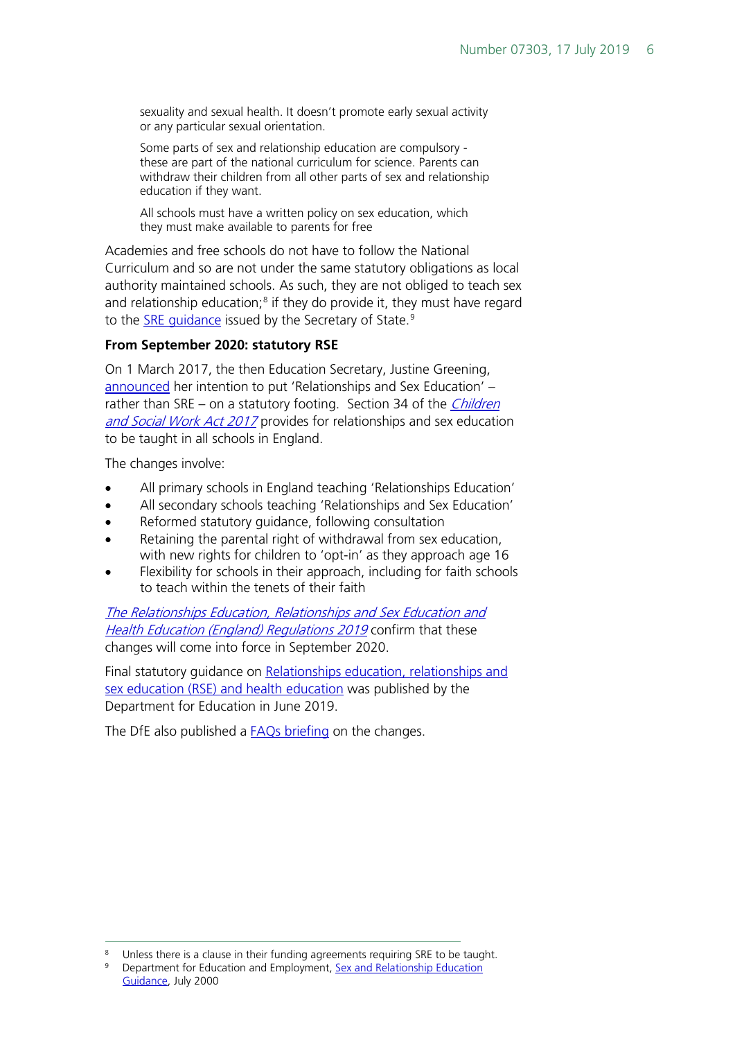sexuality and sexual health. It doesn't promote early sexual activity or any particular sexual orientation.

Some parts of sex and relationship education are compulsory these are part of the national curriculum for science. Parents can withdraw their children from all other parts of sex and relationship education if they want.

All schools must have a written policy on sex education, which they must make available to parents for free

Academies and free schools do not have to follow the National Curriculum and so are not under the same statutory obligations as local authority maintained schools. As such, they are not obliged to teach sex and relationship education; $8$  if they do provide it, they must have regard to the SRE quidance issued by the Secretary of State.<sup>[9](#page-5-1)</sup>

#### **From September 2020: statutory RSE**

On 1 March 2017, the then Education Secretary, Justine Greening, [announced](http://www.parliament.uk/business/publications/written-questions-answers-statements/written-statement/Commons/2017-03-01/HCWS509/) her intention to put 'Relationships and Sex Education' – rather than SRE – on a statutory footing. Section 34 of the *Children* [and Social Work Act 2017](http://www.legislation.gov.uk/ukpga/2017/16/section/34/enacted) provides for relationships and sex education to be taught in all schools in England.

The changes involve:

- All primary schools in England teaching 'Relationships Education'
- All secondary schools teaching 'Relationships and Sex Education'
- Reformed statutory guidance, following consultation
- Retaining the parental right of withdrawal from sex education, with new rights for children to 'opt-in' as they approach age 16
- Flexibility for schools in their approach, including for faith schools to teach within the tenets of their faith

[The Relationships Education, Relationships and Sex Education and](http://www.legislation.gov.uk/uksi/2019/924/introduction/made)  [Health Education \(England\) Regulations 2019](http://www.legislation.gov.uk/uksi/2019/924/introduction/made) confirm that these changes will come into force in September 2020.

Final statutory guidance on Relationships education, relationships and [sex education \(RSE\) and health education](https://www.gov.uk/government/publications/relationships-education-relationships-and-sex-education-rse-and-health-education) was published by the Department for Education in June 2019.

The DfE also published a **FAQs briefing** on the changes.

<span id="page-5-0"></span><sup>&</sup>lt;sup>8</sup> Unless there is a clause in their funding agreements requiring SRE to be taught.<br><sup>9</sup> Department for Education and Employment, Sox and Polationship Education.

<span id="page-5-1"></span><sup>9</sup> Department for Education and Employment, [Sex and Relationship Education](https://www.gov.uk/government/uploads/system/uploads/attachment_data/file/283599/sex_and_relationship_education_guidance.pdf)  [Guidance,](https://www.gov.uk/government/uploads/system/uploads/attachment_data/file/283599/sex_and_relationship_education_guidance.pdf) July 2000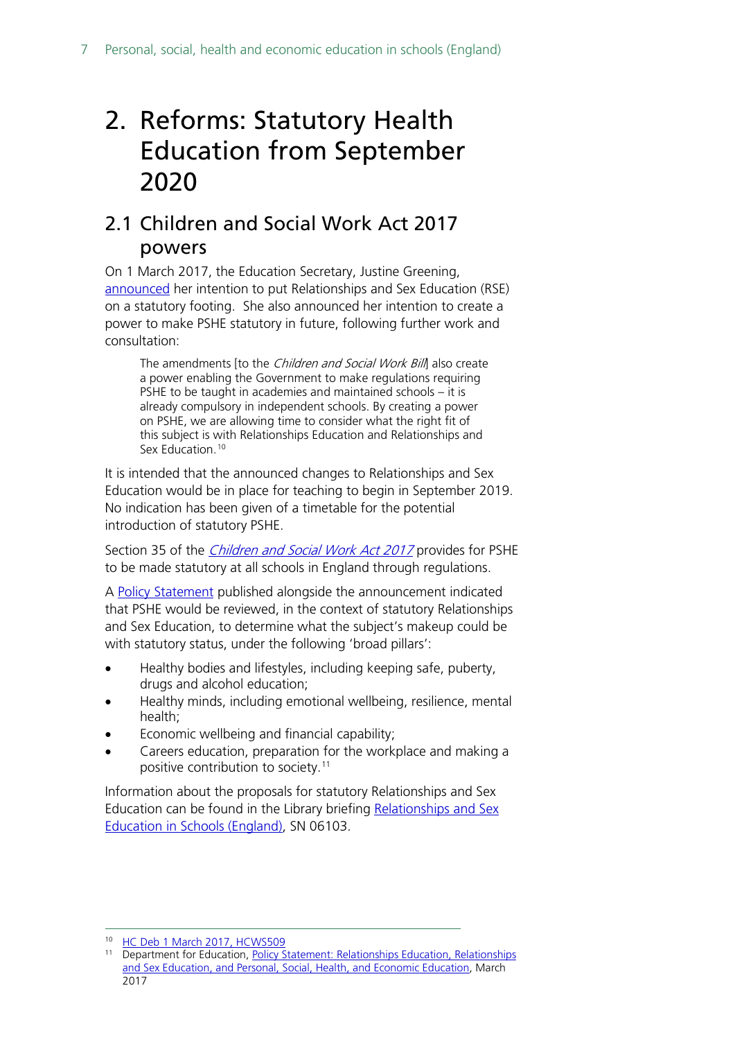## <span id="page-6-0"></span>2. Reforms: Statutory Health Education from September 2020

### <span id="page-6-1"></span>2.1 Children and Social Work Act 2017 powers

On 1 March 2017, the Education Secretary, Justine Greening, [announced](http://www.parliament.uk/business/publications/written-questions-answers-statements/written-statement/Commons/2017-03-01/HCWS509/) her intention to put Relationships and Sex Education (RSE) on a statutory footing. She also announced her intention to create a power to make PSHE statutory in future, following further work and consultation:

The amendments [to the *Children and Social Work Bill*] also create a power enabling the Government to make regulations requiring PSHE to be taught in academies and maintained schools – it is already compulsory in independent schools. By creating a power on PSHE, we are allowing time to consider what the right fit of this subject is with Relationships Education and Relationships and Sex Education.<sup>[10](#page-6-2)</sup>

It is intended that the announced changes to Relationships and Sex Education would be in place for teaching to begin in September 2019. No indication has been given of a timetable for the potential introduction of statutory PSHE.

Section 35 of the *[Children and Social Work Act 2017](http://www.legislation.gov.uk/ukpga/2017/16/section/35/enacted)* provides for PSHE to be made statutory at all schools in England through regulations.

A [Policy Statement](http://data.parliament.uk/DepositedPapers/Files/DEP2017-0191/170301_Policy_statement_gov.uk_template_FINAL.PDF) published alongside the announcement indicated that PSHE would be reviewed, in the context of statutory Relationships and Sex Education, to determine what the subject's makeup could be with statutory status, under the following 'broad pillars':

- Healthy bodies and lifestyles, including keeping safe, puberty, drugs and alcohol education;
- Healthy minds, including emotional wellbeing, resilience, mental health;
- Economic wellbeing and financial capability;
- Careers education, preparation for the workplace and making a positive contribution to society.<sup>[11](#page-6-3)</sup>

Information about the proposals for statutory Relationships and Sex Education can be found in the Library briefing [Relationships and Sex](http://researchbriefings.parliament.uk/ResearchBriefing/Summary/SN06103) [Education in Schools \(England\),](http://researchbriefings.parliament.uk/ResearchBriefing/Summary/SN06103) SN 06103.

<span id="page-6-2"></span><sup>&</sup>lt;sup>10</sup> [HC Deb 1 March 2017, HCWS509](http://www.parliament.uk/business/publications/written-questions-answers-statements/written-statement/Commons/2017-03-01/HCWS509/)

<span id="page-6-3"></span><sup>&</sup>lt;sup>11</sup> Department for Education, Policy Statement: Relationships Education, Relationships [and Sex Education, and Personal, Social, Health, and Economic Education,](http://data.parliament.uk/DepositedPapers/Files/DEP2017-0191/170301_Policy_statement_gov.uk_template_FINAL.PDF) March 2017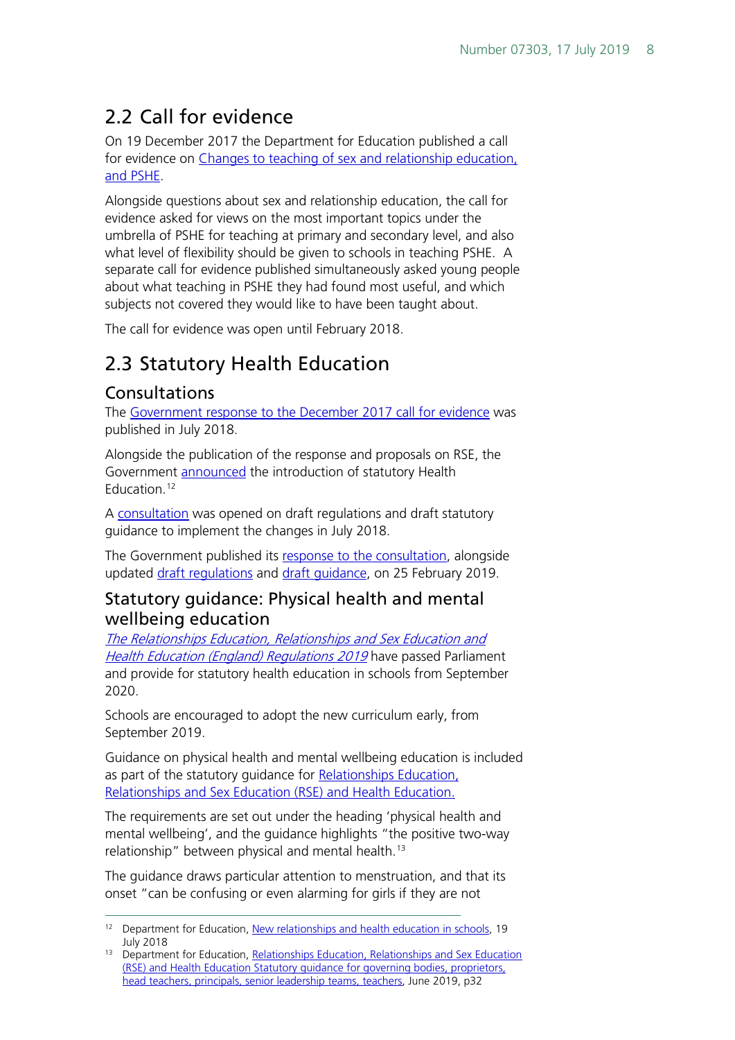### <span id="page-7-0"></span>2.2 Call for evidence

On 19 December 2017 the Department for Education published a call for evidence on [Changes to teaching of sex and relationship education,](https://www.gov.uk/government/consultations/changes-to-teaching-of-sex-and-relationship-education-and-pshe)  [and PSHE.](https://www.gov.uk/government/consultations/changes-to-teaching-of-sex-and-relationship-education-and-pshe)

Alongside questions about sex and relationship education, the call for evidence asked for views on the most important topics under the umbrella of PSHE for teaching at primary and secondary level, and also what level of flexibility should be given to schools in teaching PSHE. A separate call for evidence published simultaneously asked young people about what teaching in PSHE they had found most useful, and which subjects not covered they would like to have been taught about.

The call for evidence was open until February 2018.

### <span id="page-7-1"></span>2.3 Statutory Health Education

### <span id="page-7-2"></span>Consultations

The [Government response to the December 2017 call for evidence](https://consult.education.gov.uk/pshe/relationships-education-rse-health-education/supporting_documents/Final%20Consultation%20and%20response.pdf) was published in July 2018.

Alongside the publication of the response and proposals on RSE, the Government **announced** the introduction of statutory Health Education.<sup>[12](#page-7-4)</sup>

A [consultation](https://consult.education.gov.uk/pshe/relationships-education-rse-health-education/) was opened on draft regulations and draft statutory guidance to implement the changes in July 2018.

The Government published its [response to the consultation,](https://www.gov.uk/government/consultations/relationships-and-sex-education-and-health-education) alongside updated draft requlations and draft quidance, on 25 February 2019.

### <span id="page-7-3"></span>Statutory guidance: Physical health and mental wellbeing education

[The Relationships Education, Relationships and Sex Education](http://www.legislation.gov.uk/uksi/2019/924/introduction/made) and **[Health Education \(England\) Regulations 2019](http://www.legislation.gov.uk/uksi/2019/924/introduction/made)** have passed Parliament and provide for statutory health education in schools from September 2020.

Schools are encouraged to adopt the new curriculum early, from September 2019.

Guidance on physical health and mental wellbeing education is included as part of the statutory guidance for Relationships Education, [Relationships and Sex Education \(RSE\) and Health Education.](https://www.gov.uk/government/publications/relationships-education-relationships-and-sex-education-rse-and-health-education)

The requirements are set out under the heading 'physical health and mental wellbeing', and the guidance highlights "the positive two-way relationship" between physical and mental health.<sup>[13](#page-7-5)</sup>

The guidance draws particular attention to menstruation, and that its onset "can be confusing or even alarming for girls if they are not

<span id="page-7-4"></span><sup>&</sup>lt;sup>12</sup> Department for Education, [New relationships and health education in schools,](https://www.gov.uk/government/news/new-relationships-and-health-education-in-schools) 19 July 2018

<span id="page-7-5"></span><sup>&</sup>lt;sup>13</sup> Department for Education, Relationships Education, Relationships and Sex Education [\(RSE\) and Health Education Statutory guidance for governing bodies, proprietors,](https://assets.publishing.service.gov.uk/government/uploads/system/uploads/attachment_data/file/805781/Relationships_Education__Relationships_and_Sex_Education__RSE__and_Health_Education.pdf)  [head teachers, principals, senior leadership teams, teachers,](https://assets.publishing.service.gov.uk/government/uploads/system/uploads/attachment_data/file/805781/Relationships_Education__Relationships_and_Sex_Education__RSE__and_Health_Education.pdf) June 2019, p32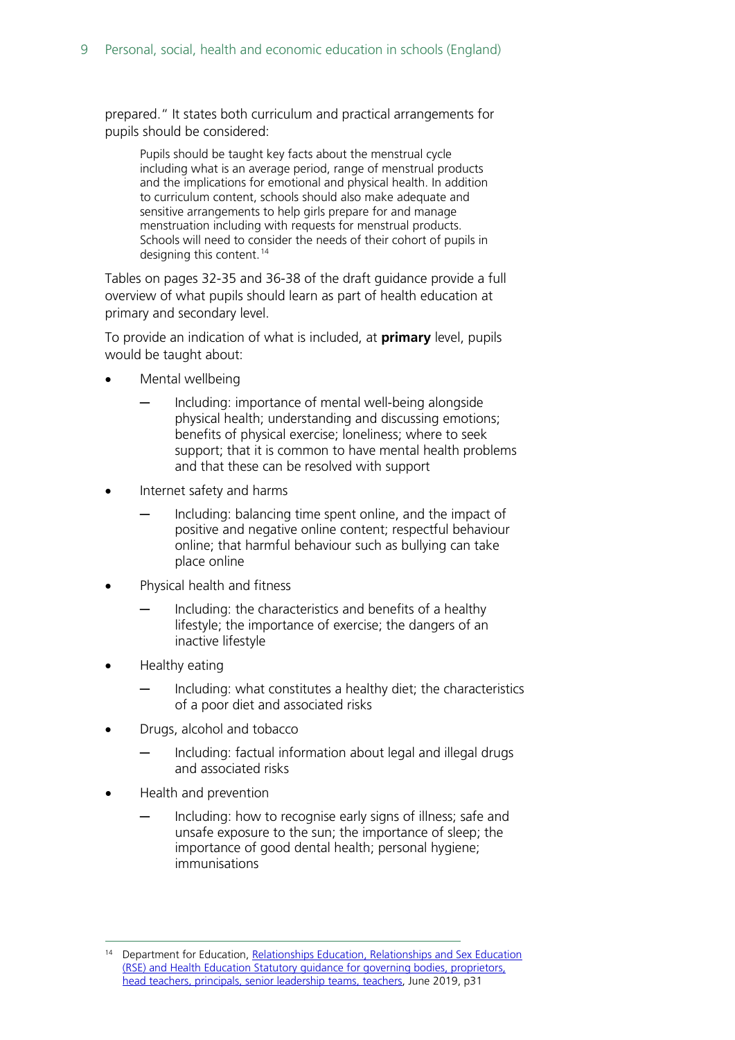prepared." It states both curriculum and practical arrangements for pupils should be considered:

Pupils should be taught key facts about the menstrual cycle including what is an average period, range of menstrual products and the implications for emotional and physical health. In addition to curriculum content, schools should also make adequate and sensitive arrangements to help girls prepare for and manage menstruation including with requests for menstrual products. Schools will need to consider the needs of their cohort of pupils in designing this content. [14](#page-8-0)

Tables on pages 32-35 and 36-38 of the draft guidance provide a full overview of what pupils should learn as part of health education at primary and secondary level.

To provide an indication of what is included, at **primary** level, pupils would be taught about:

- Mental wellbeing
	- Including: importance of mental well-being alongside physical health; understanding and discussing emotions; benefits of physical exercise; loneliness; where to seek support; that it is common to have mental health problems and that these can be resolved with support
- Internet safety and harms
	- Including: balancing time spent online, and the impact of positive and negative online content; respectful behaviour online; that harmful behaviour such as bullying can take place online
- Physical health and fitness
	- Including: the characteristics and benefits of a healthy lifestyle; the importance of exercise; the dangers of an inactive lifestyle
- Healthy eating
	- Including: what constitutes a healthy diet; the characteristics of a poor diet and associated risks
- Drugs, alcohol and tobacco
	- Including: factual information about legal and illegal drugs and associated risks
- Health and prevention
	- Including: how to recognise early signs of illness; safe and unsafe exposure to the sun; the importance of sleep; the importance of good dental health; personal hygiene; immunisations

<span id="page-8-0"></span> <sup>14</sup> Department for Education, [Relationships Education, Relationships and Sex Education](https://assets.publishing.service.gov.uk/government/uploads/system/uploads/attachment_data/file/805781/Relationships_Education__Relationships_and_Sex_Education__RSE__and_Health_Education.pdf)  [\(RSE\) and Health Education Statutory guidance for governing bodies, proprietors,](https://assets.publishing.service.gov.uk/government/uploads/system/uploads/attachment_data/file/805781/Relationships_Education__Relationships_and_Sex_Education__RSE__and_Health_Education.pdf)  [head teachers, principals, senior leadership teams, teachers,](https://assets.publishing.service.gov.uk/government/uploads/system/uploads/attachment_data/file/805781/Relationships_Education__Relationships_and_Sex_Education__RSE__and_Health_Education.pdf) June 2019, p31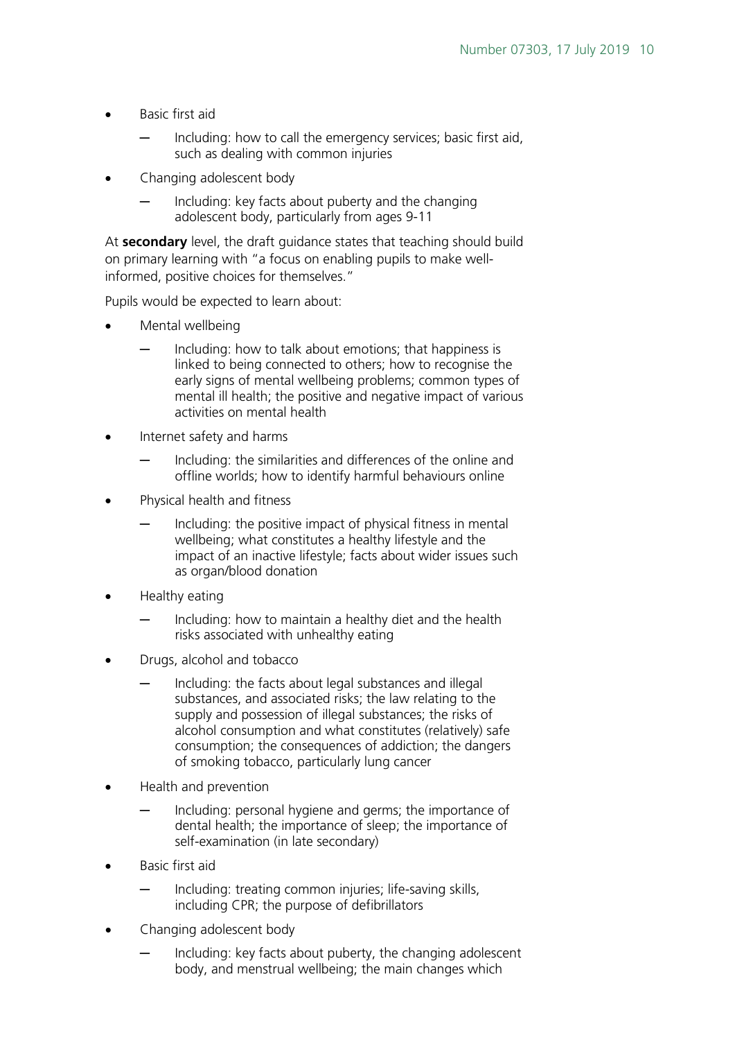- Basic first aid
	- Including: how to call the emergency services; basic first aid, such as dealing with common injuries
- Changing adolescent body
	- Including: key facts about puberty and the changing adolescent body, particularly from ages 9-11

At **secondary** level, the draft guidance states that teaching should build on primary learning with "a focus on enabling pupils to make wellinformed, positive choices for themselves."

Pupils would be expected to learn about:

- Mental wellbeing
	- Including: how to talk about emotions; that happiness is linked to being connected to others; how to recognise the early signs of mental wellbeing problems; common types of mental ill health; the positive and negative impact of various activities on mental health
- Internet safety and harms
	- Including: the similarities and differences of the online and offline worlds; how to identify harmful behaviours online
- Physical health and fitness
	- Including: the positive impact of physical fitness in mental wellbeing; what constitutes a healthy lifestyle and the impact of an inactive lifestyle; facts about wider issues such as organ/blood donation
- Healthy eating
	- Including: how to maintain a healthy diet and the health risks associated with unhealthy eating
- Drugs, alcohol and tobacco
	- Including: the facts about legal substances and illegal substances, and associated risks; the law relating to the supply and possession of illegal substances; the risks of alcohol consumption and what constitutes (relatively) safe consumption; the consequences of addiction; the dangers of smoking tobacco, particularly lung cancer
- Health and prevention
	- Including: personal hygiene and germs; the importance of dental health; the importance of sleep; the importance of self-examination (in late secondary)
- Basic first aid
	- Including: treating common injuries; life-saving skills, including CPR; the purpose of defibrillators
- Changing adolescent body
	- Including: key facts about puberty, the changing adolescent body, and menstrual wellbeing; the main changes which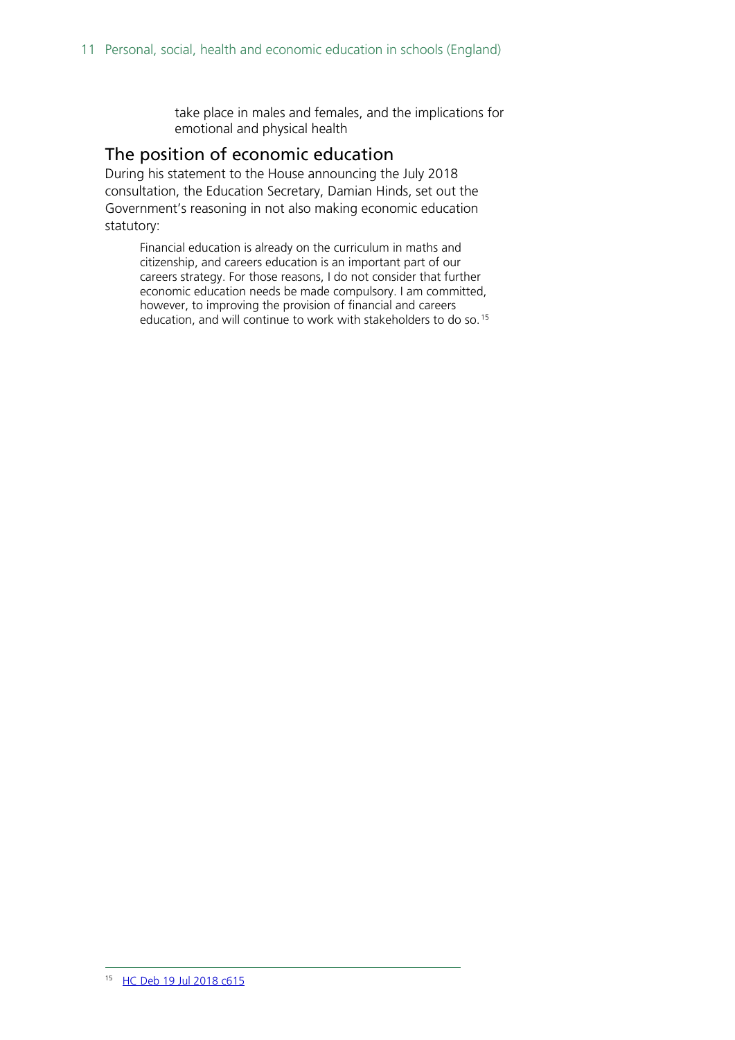take place in males and females, and the implications for emotional and physical health

#### <span id="page-10-0"></span>The position of economic education

During his statement to the House announcing the July 2018 consultation, the Education Secretary, Damian Hinds, set out the Government's reasoning in not also making economic education statutory:

<span id="page-10-1"></span>Financial education is already on the curriculum in maths and citizenship, and careers education is an important part of our careers strategy. For those reasons, I do not consider that further economic education needs be made compulsory. I am committed, however, to improving the provision of financial and careers education, and will continue to work with stakeholders to do so.<sup>[15](#page-10-1)</sup>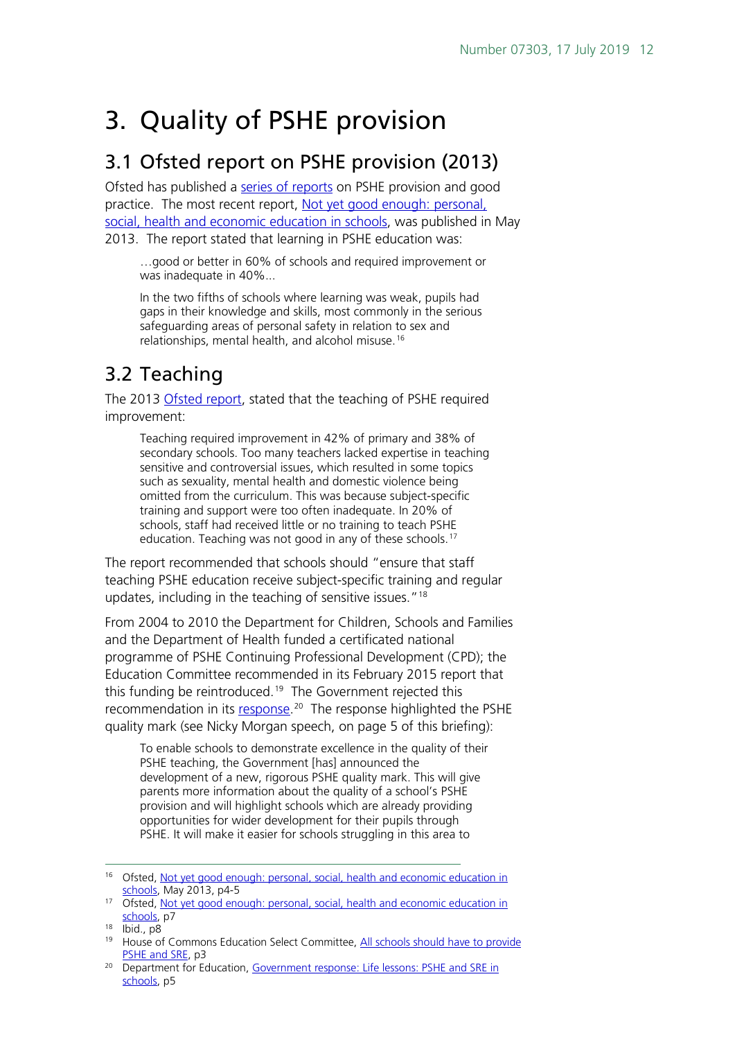## <span id="page-11-0"></span>3. Quality of PSHE provision

### <span id="page-11-1"></span>3.1 Ofsted report on PSHE provision (2013)

Ofsted has published a [series of reports](http://webarchive.nationalarchives.gov.uk/20141124154759/http:/www.ofsted.gov.uk/inspection-reports/our-expert-knowledge/personal-social-and-health-education-pshe) on PSHE provision and good practice. The most recent report, Not yet good enough: personal, [social, health and economic education in schools,](https://www.gov.uk/government/publications/not-yet-good-enough-personal-social-health-and-economic-education) was published in May 2013. The report stated that learning in PSHE education was:

…good or better in 60% of schools and required improvement or was inadequate in 40%...

In the two fifths of schools where learning was weak, pupils had gaps in their knowledge and skills, most commonly in the serious safeguarding areas of personal safety in relation to sex and relationships, mental health, and alcohol misuse.<sup>[16](#page-11-3)</sup>

### <span id="page-11-2"></span>3.2 Teaching

The 2013 [Ofsted report,](https://www.gov.uk/government/publications/not-yet-good-enough-personal-social-health-and-economic-education) stated that the teaching of PSHE required improvement:

Teaching required improvement in 42% of primary and 38% of secondary schools. Too many teachers lacked expertise in teaching sensitive and controversial issues, which resulted in some topics such as sexuality, mental health and domestic violence being omitted from the curriculum. This was because subject-specific training and support were too often inadequate. In 20% of schools, staff had received little or no training to teach PSHE education. Teaching was not good in any of these schools.<sup>[17](#page-11-4)</sup>

The report recommended that schools should "ensure that staff teaching PSHE education receive subject-specific training and regular updates, including in the teaching of sensitive issues."<sup>[18](#page-11-5)</sup>

From 2004 to 2010 the Department for Children, Schools and Families and the Department of Health funded a certificated national programme of PSHE Continuing Professional Development (CPD); the Education Committee recommended in its February 2015 report that this funding be reintroduced.<sup>19</sup> The Government rejected this recommendation in its [response.](https://www.gov.uk/government/publications/pshe-and-sre-in-schools-government-response)<sup>20</sup> The response highlighted the PSHE quality mark (see Nicky Morgan speech, on page 5 of this briefing):

To enable schools to demonstrate excellence in the quality of their PSHE teaching, the Government [has] announced the development of a new, rigorous PSHE quality mark. This will give parents more information about the quality of a school's PSHE provision and will highlight schools which are already providing opportunities for wider development for their pupils through PSHE. It will make it easier for schools struggling in this area to

<span id="page-11-3"></span> <sup>16</sup> Ofsted, [Not yet good enough: personal, social, health and economic education in](https://www.gov.uk/government/uploads/system/uploads/attachment_data/file/413178/Not_yet_good_enough_personal__social__health_and_economic_education_in_schools.pdf)  [schools,](https://www.gov.uk/government/uploads/system/uploads/attachment_data/file/413178/Not_yet_good_enough_personal__social__health_and_economic_education_in_schools.pdf) May 2013, p4-5

<span id="page-11-4"></span><sup>&</sup>lt;sup>17</sup> Ofsted, Not yet good enough: personal, social, health and economic education in [schools,](https://www.gov.uk/government/uploads/system/uploads/attachment_data/file/413178/Not_yet_good_enough_personal__social__health_and_economic_education_in_schools.pdf) p7

<span id="page-11-5"></span><sup>18</sup> Ibid., p8

<span id="page-11-6"></span><sup>&</sup>lt;sup>19</sup> House of Commons Education Select Committee, All schools should have to provide [PSHE and SRE,](http://www.parliament.uk/business/committees/committees-a-z/commons-select/education-committee/news/pshe-sre-report/) p3

<span id="page-11-7"></span><sup>&</sup>lt;sup>20</sup> Department for Education, Government response: Life lessons: PSHE and SRE in [schools,](https://www.gov.uk/government/uploads/system/uploads/attachment_data/file/446038/50742_Cm_9121_Web.pdf) p5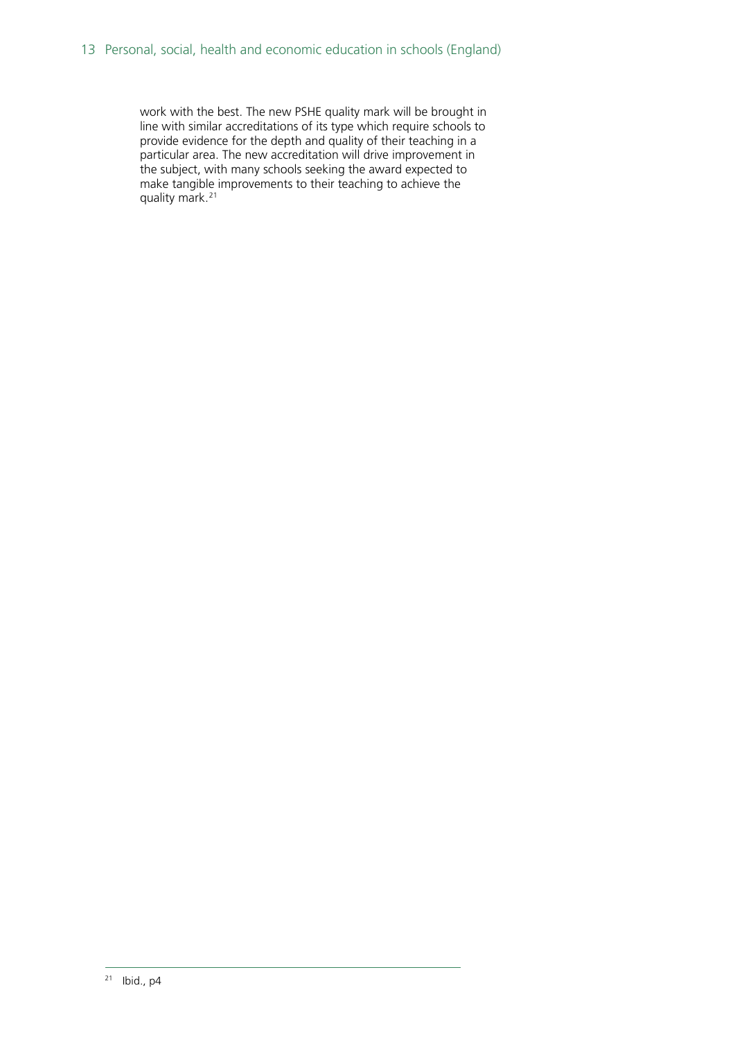<span id="page-12-0"></span>work with the best. The new PSHE quality mark will be brought in line with similar accreditations of its type which require schools to provide evidence for the depth and quality of their teaching in a particular area. The new accreditation will drive improvement in the subject, with many schools seeking the award expected to make tangible improvements to their teaching to achieve the quality mark.[21](#page-12-0)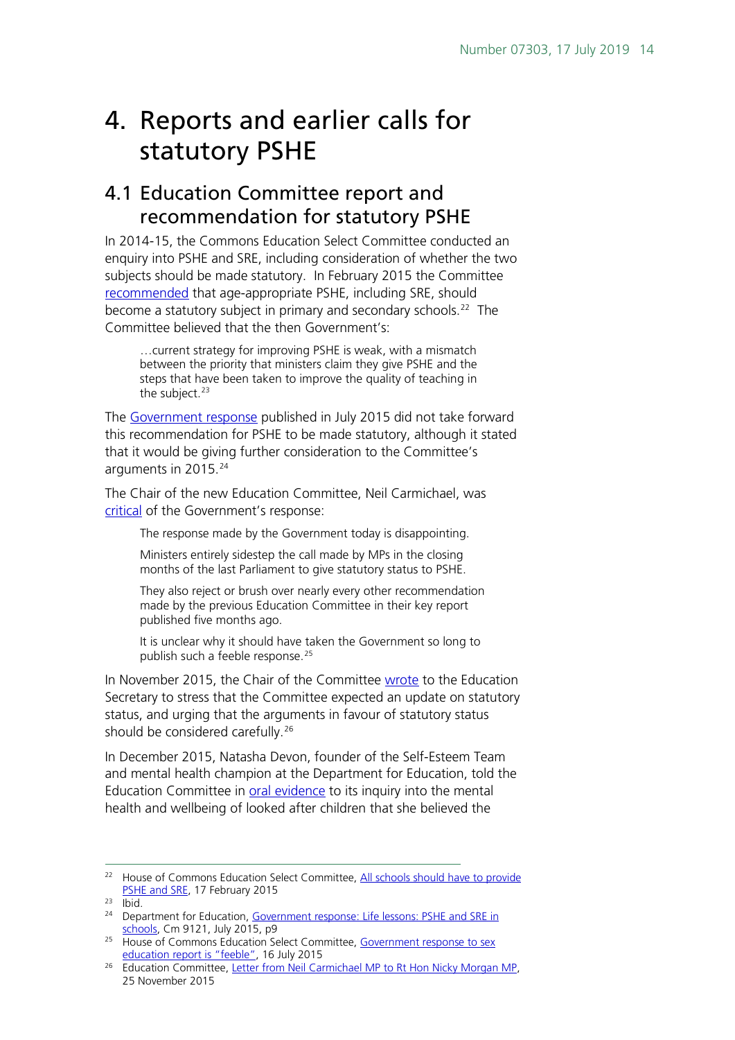## <span id="page-13-0"></span>4. Reports and earlier calls for statutory PSHE

### <span id="page-13-1"></span>4.1 Education Committee report and recommendation for statutory PSHE

In 2014-15, the Commons Education Select Committee conducted an enquiry into PSHE and SRE, including consideration of whether the two subjects should be made statutory. In February 2015 the Committee [recommended](http://www.publications.parliament.uk/pa/cm201415/cmselect/cmeduc/145/145.pdf) that age-appropriate PSHE, including SRE, should become a statutory subject in primary and secondary schools.<sup>[22](#page-13-2)</sup> The Committee believed that the then Government's:

…current strategy for improving PSHE is weak, with a mismatch between the priority that ministers claim they give PSHE and the steps that have been taken to improve the quality of teaching in the subject.<sup>[23](#page-13-3)</sup>

The [Government response](https://www.gov.uk/government/uploads/system/uploads/attachment_data/file/446038/50742_Cm_9121_Web.pdf) published in July 2015 did not take forward this recommendation for PSHE to be made statutory, although it stated that it would be giving further consideration to the Committee's arguments in 2015. [24](#page-13-4)

The Chair of the new Education Committee, Neil Carmichael, was [critical](http://www.parliament.uk/business/committees/committees-a-z/commons-select/education-committee/news-parliament-2015/comment-sex-education-15-16/) of the Government's response:

The response made by the Government today is disappointing.

Ministers entirely sidestep the call made by MPs in the closing months of the last Parliament to give statutory status to PSHE.

They also reject or brush over nearly every other recommendation made by the previous Education Committee in their key report published five months ago.

It is unclear why it should have taken the Government so long to publish such a feeble response.<sup>[25](#page-13-5)</sup>

In November 2015, the Chair of the Committee [wrote](http://www.parliament.uk/documents/commons-committees/Education/Letter-from-the-Committee-to-the-Secretary-of-State-regarding-statutory-status-for-PSHE.pdf) to the Education Secretary to stress that the Committee expected an update on statutory status, and urging that the arguments in favour of statutory status should be considered carefully.<sup>[26](#page-13-6)</sup>

In December 2015, Natasha Devon, founder of the Self-Esteem Team and mental health champion at the Department for Education, told the Education Committee in [oral evidence](http://data.parliament.uk/writtenevidence/committeeevidence.svc/evidencedocument/education-committee/mental-health-and-wellbeing-of-looked-after-children/oral/26126.html) to its inquiry into the mental health and wellbeing of looked after children that she believed the

<span id="page-13-2"></span><sup>&</sup>lt;sup>22</sup> House of Commons Education Select Committee, All schools should have to provide [PSHE and SRE,](http://www.parliament.uk/business/committees/committees-a-z/commons-select/education-committee/news/pshe-sre-report/) 17 February 2015

<span id="page-13-3"></span> $23$  Ibid.

<span id="page-13-4"></span><sup>&</sup>lt;sup>24</sup> Department for Education, Government response: Life lessons: PSHE and SRE in [schools,](https://www.gov.uk/government/uploads/system/uploads/attachment_data/file/446038/50742_Cm_9121_Web.pdf) Cm 9121, July 2015, p9

<span id="page-13-5"></span><sup>&</sup>lt;sup>25</sup> House of Commons Education Select Committee, Government response to sex [education report is "feeble",](http://www.parliament.uk/business/committees/committees-a-z/commons-select/education-committee/news-parliament-2015/comment-sex-education-15-16/) 16 July 2015

<span id="page-13-6"></span><sup>&</sup>lt;sup>26</sup> Education Committee, [Letter from Neil Carmichael MP to Rt Hon Nicky Morgan MP,](http://www.parliament.uk/documents/commons-committees/Education/Letter-from-the-Committee-to-the-Secretary-of-State-regarding-statutory-status-for-PSHE.pdf) 25 November 2015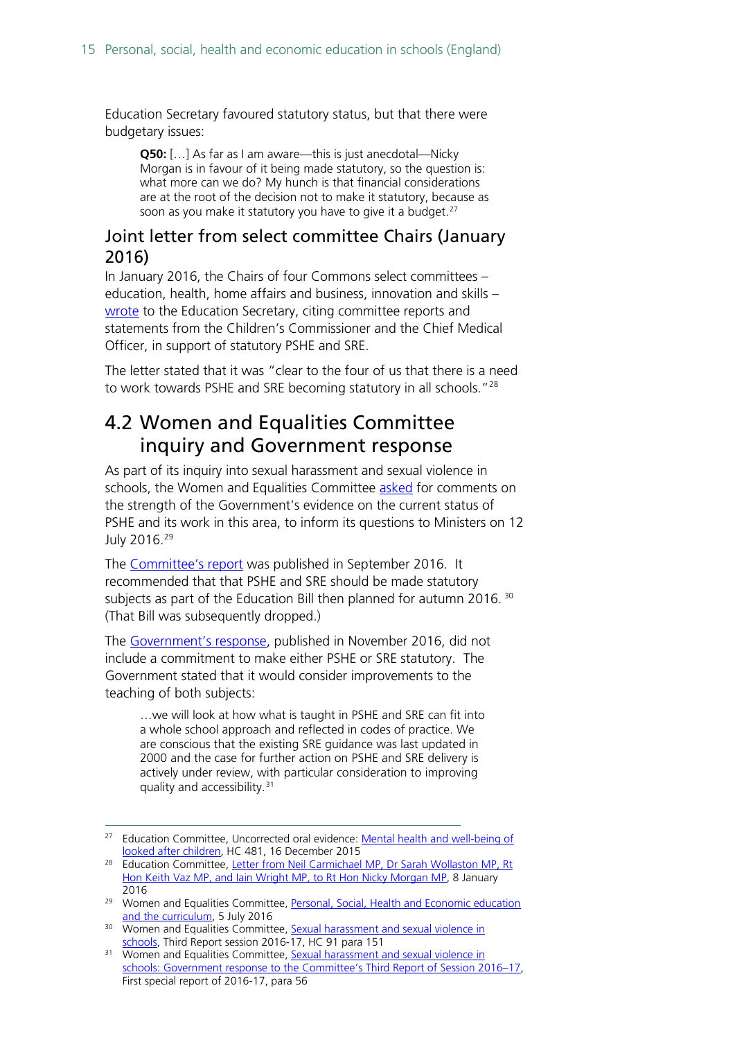Education Secretary favoured statutory status, but that there were budgetary issues:

**Q50:** […] As far as I am aware—this is just anecdotal—Nicky Morgan is in favour of it being made statutory, so the question is: what more can we do? My hunch is that financial considerations are at the root of the decision not to make it statutory, because as soon as you make it statutory you have to give it a budget.<sup>[27](#page-14-2)</sup>

### <span id="page-14-0"></span>Joint letter from select committee Chairs (January 2016)

In January 2016, the Chairs of four Commons select committees – education, health, home affairs and business, innovation and skills – [wrote](http://www.parliament.uk/documents/commons-committees/Education/Chairs) to the Education Secretary, citing committee reports and statements from the Children's Commissioner and the Chief Medical Officer, in support of statutory PSHE and SRE.

The letter stated that it was "clear to the four of us that there is a need to work towards PSHE and SRE becoming statutory in all schools."<sup>[28](#page-14-3)</sup>

### <span id="page-14-1"></span>4.2 Women and Equalities Committee inquiry and Government response

As part of its inquiry into sexual harassment and sexual violence in schools, the Women and Equalities Committee [asked](http://www.parliament.uk/business/committees/committees-a-z/commons-select/women-and-equalities-committee/dfe-evidence-check-forum/curriculum-and-personal-social-health-and-economic-education/) for comments on the strength of the Government's evidence on the current status of PSHE and its work in this area, to inform its questions to Ministers on 12 July 2016.[29](#page-14-4)

The [Committee's report](http://www.parliament.uk/business/committees/committees-a-z/commons-select/women-and-equalities-committee/news-parliament-2015/sexual-harassment-and-violence-in-schools-report-published-16-17/) was published in September 2016. It recommended that that PSHE and SRE should be made statutory subjects as part of the Education Bill then planned for autumn 2016.<sup>[30](#page-14-5)</sup> (That Bill was subsequently dropped.)

The [Government's response,](http://www.parliament.uk/business/committees/committees-a-z/commons-select/women-and-equalities-committee/news-parliament-2015/sexual-harassment-and-sexual-violence-in-schools-government-response-published-16-17/) published in November 2016, did not include a commitment to make either PSHE or SRE statutory. The Government stated that it would consider improvements to the teaching of both subjects:

…we will look at how what is taught in PSHE and SRE can fit into a whole school approach and reflected in codes of practice. We are conscious that the existing SRE guidance was last updated in 2000 and the case for further action on PSHE and SRE delivery is actively under review, with particular consideration to improving quality and accessibility.[31](#page-14-6)

<span id="page-14-2"></span><sup>&</sup>lt;sup>27</sup> Education Committee, Uncorrected oral evidence: Mental health and well-being of [looked after children,](http://www.parliament.uk/business/committees/committees-a-z/commons-select/education-committee/inquiries/parliament-2015/mental-health-children-15-16/) HC 481, 16 December 2015

<span id="page-14-3"></span><sup>&</sup>lt;sup>28</sup> Education Committee, Letter from Neil Carmichael MP, Dr Sarah Wollaston MP, Rt [Hon Keith Vaz MP, and Iain Wright MP, to Rt Hon Nicky Morgan MP,](http://www.parliament.uk/documents/commons-committees/Education/Chairs) 8 January 2016

<span id="page-14-4"></span><sup>&</sup>lt;sup>29</sup> Women and Equalities Committee, Personal, Social, Health and Economic education [and the curriculum,](http://www.parliament.uk/business/committees/committees-a-z/commons-select/women-and-equalities-committee/dfe-evidence-check-forum/curriculum-and-personal-social-health-and-economic-education/) 5 July 2016

<span id="page-14-5"></span><sup>&</sup>lt;sup>30</sup> Women and Equalities Committee, Sexual harassment and sexual violence in [schools,](http://www.publications.parliament.uk/pa/cm201617/cmselect/cmwomeq/91/91.pdf) Third Report session 2016-17, HC 91 para 151

<span id="page-14-6"></span><sup>&</sup>lt;sup>31</sup> Women and Equalities Committee, Sexual harassment and sexual violence in [schools: Government response to the Committee's Third Report of Session 2016–17,](http://www.publications.parliament.uk/pa/cm201617/cmselect/cmwomeq/826/826.pdf) First special report of 2016-17, para 56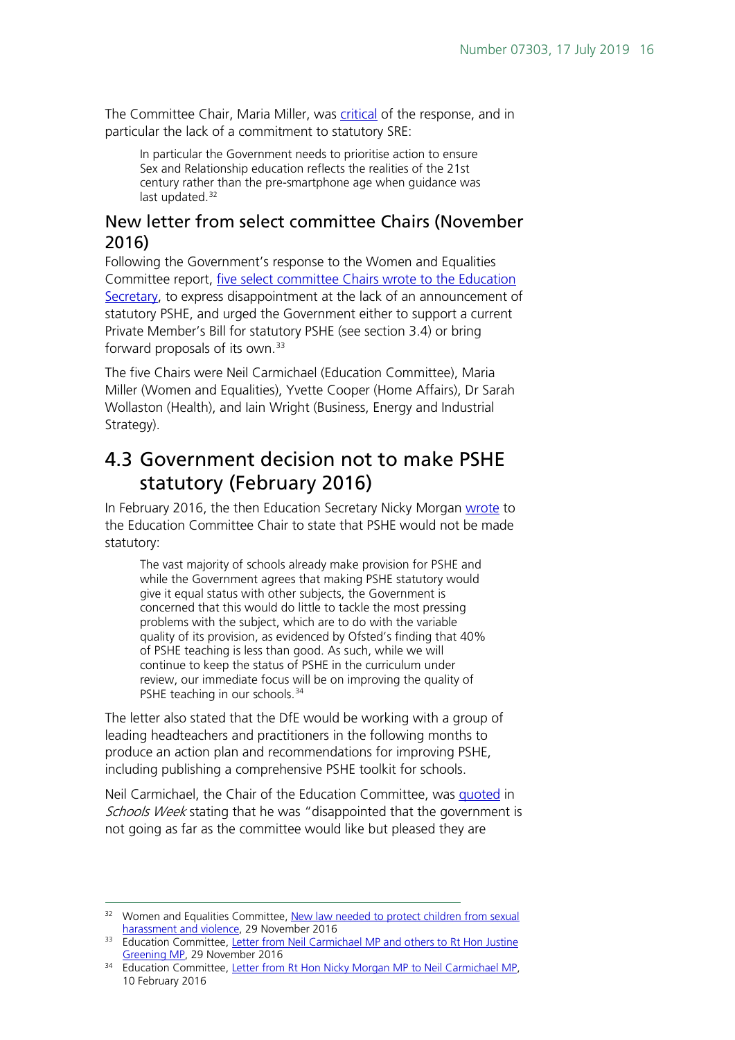The Committee Chair, Maria Miller, was [critical](http://www.parliament.uk/business/committees/committees-a-z/commons-select/women-and-equalities-committee/news-parliament-2015/sexual-harassment-and-sexual-violence-in-schools-government-response-published-16-17/) of the response, and in particular the lack of a commitment to statutory SRE:

In particular the Government needs to prioritise action to ensure Sex and Relationship education reflects the realities of the 21st century rather than the pre-smartphone age when guidance was last updated. [32](#page-15-2)

### <span id="page-15-0"></span>New letter from select committee Chairs (November 2016)

Following the Government's response to the Women and Equalities Committee report, [five select committee Chairs wrote to the Education](http://www.parliament.uk/documents/commons-committees/Education/Correspondence/Chairs-letter-to-Secretary-of-State-re-PSHE-status-29-11-2016.PDF)  [Secretary,](http://www.parliament.uk/documents/commons-committees/Education/Correspondence/Chairs-letter-to-Secretary-of-State-re-PSHE-status-29-11-2016.PDF) to express disappointment at the lack of an announcement of statutory PSHE, and urged the Government either to support a current Private Member's Bill for statutory PSHE (see section 3.4) or bring forward proposals of its own.[33](#page-15-3)

The five Chairs were Neil Carmichael (Education Committee), Maria Miller (Women and Equalities), Yvette Cooper (Home Affairs), Dr Sarah Wollaston (Health), and Iain Wright (Business, Energy and Industrial Strategy).

### <span id="page-15-1"></span>4.3 Government decision not to make PSHE statutory (February 2016)

In February 2016, the then Education Secretary Nicky Morgan [wrote](http://www.parliament.uk/documents/commons-committees/Education/Letter-from-the-Secretary-of-State-to-the-Committee-on-statutory-status-for-PSHE.pdf) to the Education Committee Chair to state that PSHE would not be made statutory:

The vast majority of schools already make provision for PSHE and while the Government agrees that making PSHE statutory would give it equal status with other subjects, the Government is concerned that this would do little to tackle the most pressing problems with the subject, which are to do with the variable quality of its provision, as evidenced by Ofsted's finding that 40% of PSHE teaching is less than good. As such, while we will continue to keep the status of PSHE in the curriculum under review, our immediate focus will be on improving the quality of PSHE teaching in our schools.<sup>[34](#page-15-4)</sup>

The letter also stated that the DfE would be working with a group of leading headteachers and practitioners in the following months to produce an action plan and recommendations for improving PSHE, including publishing a comprehensive PSHE toolkit for schools.

Neil Carmichael, the Chair of the Education Committee, was [quoted](http://schoolsweek.co.uk/government-rules-out-making-pshe-and-sre-statutory/) in Schools Week stating that he was "disappointed that the government is not going as far as the committee would like but pleased they are

<span id="page-15-2"></span><sup>&</sup>lt;sup>32</sup> Women and Equalities Committee, New law needed to protect children from sexual [harassment and violence,](http://www.parliament.uk/business/committees/committees-a-z/commons-select/women-and-equalities-committee/news-parliament-2015/sexual-harassment-and-sexual-violence-in-schools-government-response-published-16-17/) 29 November 2016

<span id="page-15-3"></span><sup>&</sup>lt;sup>33</sup> Education Committee, Letter from Neil Carmichael MP and others to Rt Hon Justine [Greening MP,](http://www.parliament.uk/documents/commons-committees/Education/Correspondence/Chairs-letter-to-Secretary-of-State-re-PSHE-status-29-11-2016.PDF) 29 November 2016

<span id="page-15-4"></span><sup>&</sup>lt;sup>34</sup> Education Committee, [Letter from Rt Hon Nicky Morgan MP to Neil Carmichael MP,](http://www.parliament.uk/documents/commons-committees/Education/Letter-from-the-Secretary-of-State-to-the-Committee-on-statutory-status-for-PSHE.pdf) 10 February 2016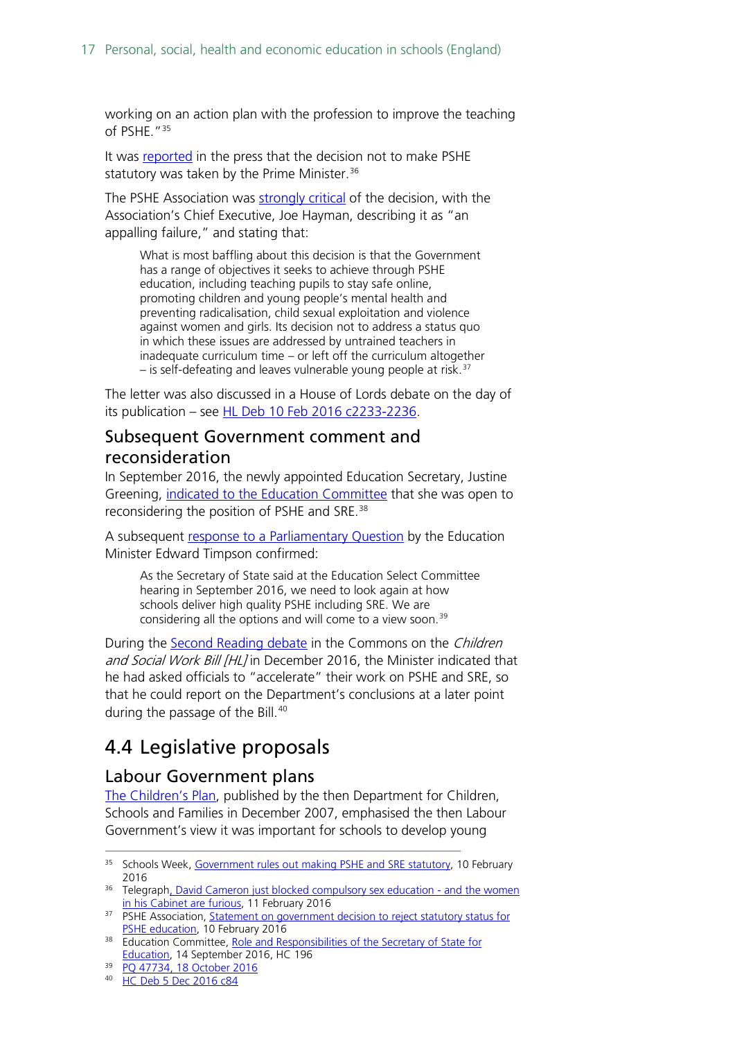working on an action plan with the profession to improve the teaching of PSHE.["35](#page-16-3)

It was [reported](http://www.telegraph.co.uk/women/life/david-cameron-just-blocked-compulsory-sex-education---and-the-wo/) in the press that the decision not to make PSHE statutory was taken by the Prime Minister.<sup>[36](#page-16-4)</sup>

The PSHE Association was [strongly critical](https://www.pshe-association.org.uk/news_detail.aspx?ID=1481) of the decision, with the Association's Chief Executive, Joe Hayman, describing it as "an appalling failure," and stating that:

What is most baffling about this decision is that the Government has a range of objectives it seeks to achieve through PSHE education, including teaching pupils to stay safe online, promoting children and young people's mental health and preventing radicalisation, child sexual exploitation and violence against women and girls. Its decision not to address a status quo in which these issues are addressed by untrained teachers in inadequate curriculum time – or left off the curriculum altogether  $-$  is self-defeating and leaves vulnerable young people at risk.<sup>[37](#page-16-5)</sup>

The letter was also discussed in a House of Lords debate on the day of its publication – see [HL Deb 10 Feb 2016 c2233-2236.](http://www.publications.parliament.uk/pa/ld201516/ldhansrd/text/160210-0001.htm#160210106000432)

### <span id="page-16-0"></span>Subsequent Government comment and reconsideration

In September 2016, the newly appointed Education Secretary, Justine Greening, [indicated to the Education Committee](http://data.parliament.uk/writtenevidence/committeeevidence.svc/evidencedocument/education-committee/role-and-responsibilities-of-the-secretary-of-state/oral/38342.pdf) that she was open to reconsidering the position of PSHE and SRE.<sup>[38](#page-16-6)</sup>

A subsequent [response to a Parliamentary Question](http://www.parliament.uk/written-questions-answers-statements/written-question/commons/2016-10-10/47734) by the Education Minister Edward Timpson confirmed:

As the Secretary of State said at the Education Select Committee hearing in September 2016, we need to look again at how schools deliver high quality PSHE including SRE. We are considering all the options and will come to a view soon.<sup>[39](#page-16-7)</sup>

During the Second [Reading debate](https://hansard.parliament.uk/commons/2016-12-05/debates/F3215438-F9D3-43FA-854E-5EA519D838DD/ChildrenAndSocialWorkBill(Lords)) in the Commons on the *Children* and Social Work Bill [HL] in December 2016, the Minister indicated that he had asked officials to "accelerate" their work on PSHE and SRE, so that he could report on the Department's conclusions at a later point during the passage of the Bill.<sup>[40](#page-16-8)</sup>

### <span id="page-16-1"></span>4.4 Legislative proposals

#### <span id="page-16-2"></span>Labour Government plans

[The Children's Plan,](https://www.gov.uk/government/publications/the-childrens-plan) published by the then Department for Children, Schools and Families in December 2007, emphasised the then Labour Government's view it was important for schools to develop young

<span id="page-16-3"></span><sup>&</sup>lt;sup>35</sup> Schools Week, [Government rules out making PSHE and SRE statutory,](http://schoolsweek.co.uk/government-rules-out-making-pshe-and-sre-statutory/) 10 February 2016

<span id="page-16-4"></span><sup>&</sup>lt;sup>36</sup> Telegrap[h, David Cameron just blocked compulsory sex education -](http://www.telegraph.co.uk/women/life/david-cameron-just-blocked-compulsory-sex-education---and-the-wo/) and the women [in his Cabinet are furious,](http://www.telegraph.co.uk/women/life/david-cameron-just-blocked-compulsory-sex-education---and-the-wo/) 11 February 2016

<span id="page-16-5"></span><sup>&</sup>lt;sup>37</sup> PSHE Association, Statement on government decision to reject statutory status for [PSHE education,](https://www.pshe-association.org.uk/news_detail.aspx?ID=1481) 10 February 2016

<span id="page-16-6"></span><sup>&</sup>lt;sup>38</sup> Education Committee, Role and Responsibilities of the Secretary of State for [Education,](http://data.parliament.uk/writtenevidence/committeeevidence.svc/evidencedocument/education-committee/role-and-responsibilities-of-the-secretary-of-state/oral/38342.pdf) 14 September 2016, HC 196

<span id="page-16-7"></span><sup>39</sup> [PQ 47734, 18 October 2016](http://www.parliament.uk/written-questions-answers-statements/written-question/commons/2016-10-10/47734)

<span id="page-16-8"></span><sup>40</sup> [HC Deb 5 Dec 2016 c84](https://hansard.parliament.uk/commons/2016-12-05/debates/F3215438-F9D3-43FA-854E-5EA519D838DD/ChildrenAndSocialWorkBill(Lords))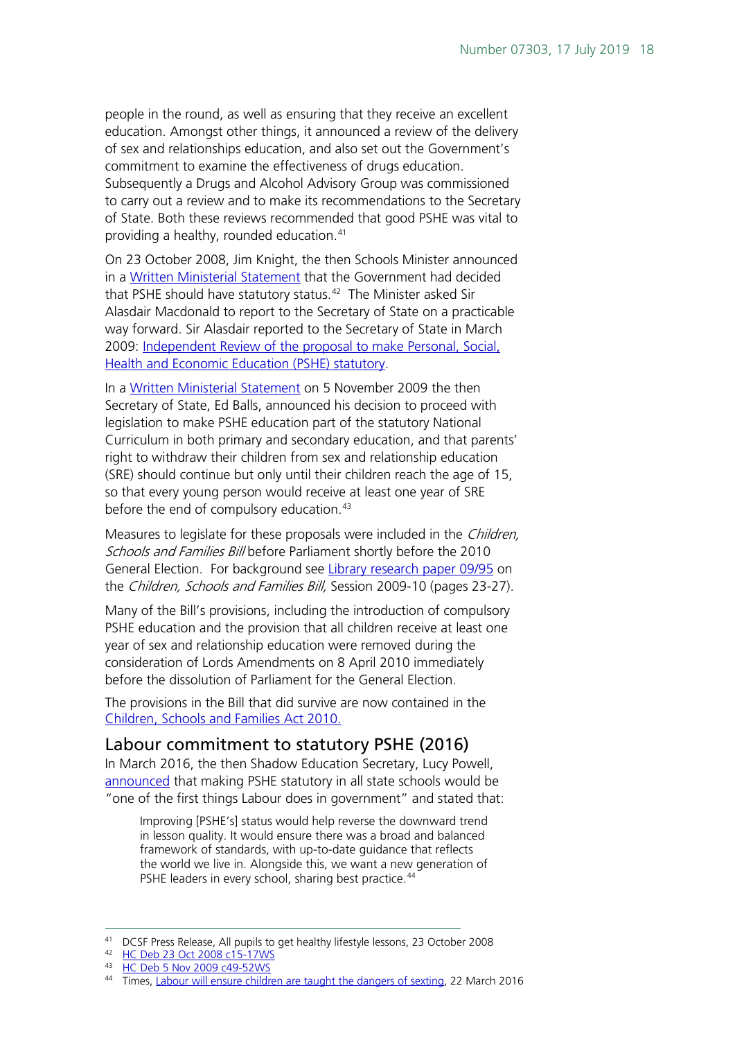people in the round, as well as ensuring that they receive an excellent education. Amongst other things, it announced a review of the delivery of sex and relationships education, and also set out the Government's commitment to examine the effectiveness of drugs education. Subsequently a Drugs and Alcohol Advisory Group was commissioned to carry out a review and to make its recommendations to the Secretary of State. Both these reviews recommended that good PSHE was vital to providing a healthy, rounded education.[41](#page-17-1)

On 23 October 2008, Jim Knight, the then Schools Minister announced in a [Written Ministerial Statement](http://www.publications.parliament.uk/pa/cm200708/cmhansrd/cm081023/wmstext/81023m0001.htm#08102337000011) that the Government had decided that PSHE should have statutory status. [42](#page-17-2) The Minister asked Sir Alasdair Macdonald to report to the Secretary of State on a practicable way forward. Sir Alasdair reported to the Secretary of State in March 2009: [Independent Review of the proposal to make Personal, Social,](http://www.educationengland.org.uk/documents/pdfs/2009-macdonald-pshe.pdf)  [Health and Economic Education \(PSHE\) statutory.](http://www.educationengland.org.uk/documents/pdfs/2009-macdonald-pshe.pdf)

In a [Written Ministerial Statement](http://www.publications.parliament.uk/pa/cm200809/cmhansrd/cm091105/wmstext/91105m0001.htm#09110553000010) on 5 November 2009 the then Secretary of State, Ed Balls, announced his decision to proceed with legislation to make PSHE education part of the statutory National Curriculum in both primary and secondary education, and that parents' right to withdraw their children from sex and relationship education (SRE) should continue but only until their children reach the age of 15, so that every young person would receive at least one year of SRE before the end of compulsory education.<sup>[43](#page-17-3)</sup>

Measures to legislate for these proposals were included in the Children, Schools and Families Bill before Parliament shortly before the 2010 General Election. For background see [Library research paper 09/95](http://researchbriefings.parliament.uk/ResearchBriefing/Summary/RP09-95) on the Children, Schools and Families Bill, Session 2009-10 (pages 23-27).

Many of the Bill's provisions, including the introduction of compulsory PSHE education and the provision that all children receive at least one year of sex and relationship education were removed during the consideration of Lords Amendments on 8 April 2010 immediately before the dissolution of Parliament for the General Election.

The provisions in the Bill that did survive are now contained in the [Children, Schools and Families Act 2010.](http://www.legislation.gov.uk/ukpga/2010/26/contents)

### <span id="page-17-0"></span>Labour commitment to statutory PSHE (2016)

In March 2016, the then Shadow Education Secretary, Lucy Powell, [announced](http://www.thetimes.co.uk/tto/opinion/thunderer/article4718516.ece) that making PSHE statutory in all state schools would be "one of the first things Labour does in government" and stated that:

Improving [PSHE's] status would help reverse the downward trend in lesson quality. It would ensure there was a broad and balanced framework of standards, with up-to-date guidance that reflects the world we live in. Alongside this, we want a new generation of PSHE leaders in every school, sharing best practice.<sup>[44](#page-17-4)</sup>

 <sup>41</sup> DCSF Press Release, All pupils to get healthy lifestyle lessons, 23 October 2008

<span id="page-17-2"></span><span id="page-17-1"></span><sup>42</sup> HC [Deb 23 Oct 2008 c15-17WS](http://www.publications.parliament.uk/pa/cm200708/cmhansrd/cm081023/wmstext/81023m0001.htm#08102337000011)

<span id="page-17-3"></span><sup>43</sup> [HC Deb 5 Nov 2009 c49-52WS](http://www.publications.parliament.uk/pa/cm200809/cmhansrd/cm091105/wmstext/91105m0001.htm#09110553000010)

<span id="page-17-4"></span><sup>44</sup> Times, [Labour will ensure children are taught the dangers of sexting,](http://www.thetimes.co.uk/tto/opinion/thunderer/article4718516.ece) 22 March 2016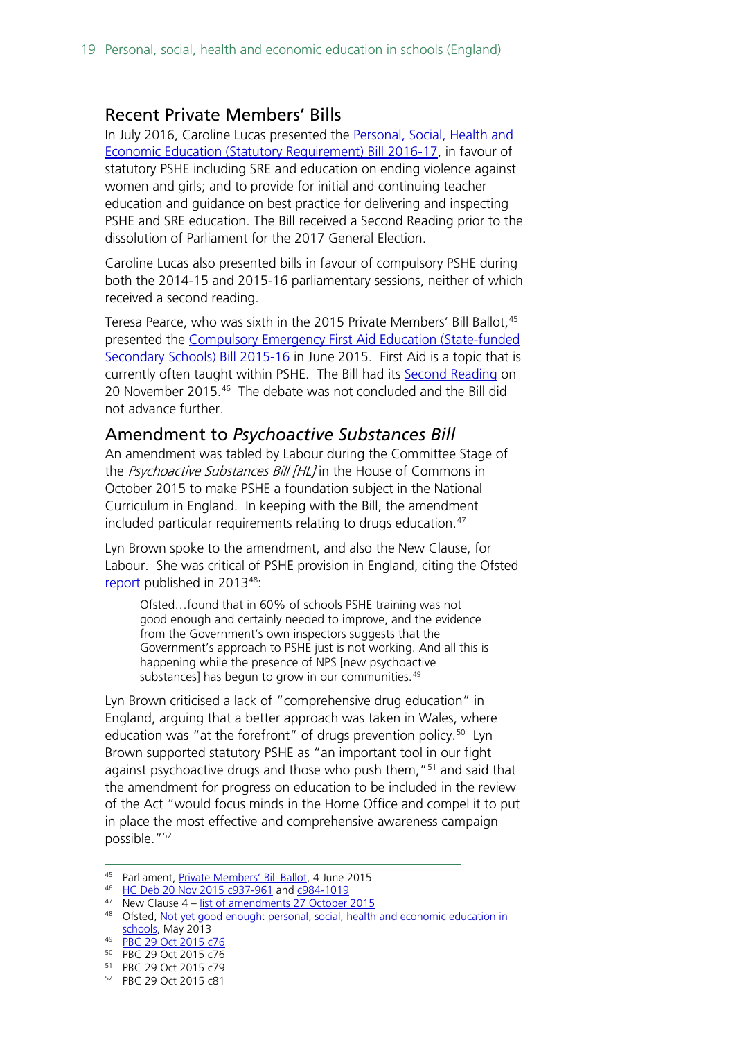#### <span id="page-18-0"></span>Recent Private Members' Bills

In July 2016, Caroline Lucas presented the Personal, Social, Health and [Economic Education \(Statutory Requirement\) Bill 2016-17,](http://services.parliament.uk/bills/2016-17/personalsocialhealthandeconomiceducationstatutoryrequirement.html) in favour of statutory PSHE including SRE and education on ending violence against women and girls; and to provide for initial and continuing teacher education and guidance on best practice for delivering and inspecting PSHE and SRE education. The Bill received a Second Reading prior to the dissolution of Parliament for the 2017 General Election.

Caroline Lucas also presented bills in favour of compulsory PSHE during both the 2014-15 and 2015-16 parliamentary sessions, neither of which received a second reading.

Teresa Pearce, who was sixth in the 2015 Private Members' Bill Ballot, <sup>[45](#page-18-2)</sup> presented the [Compulsory Emergency First Aid Education \(State-funded](http://services.parliament.uk/bills/2015-16/compulsoryemergencyfirstaideducationstatefundedsecondaryschools.html)  [Secondary Schools\) Bill 2015-16](http://services.parliament.uk/bills/2015-16/compulsoryemergencyfirstaideducationstatefundedsecondaryschools.html) in June 2015. First Aid is a topic that is currently often taught within PSHE. The Bill had its [Second Reading](http://www.publications.parliament.uk/pa/cm201516/cmhansrd/cm151120/debtext/151120-0001.htm#15112060000001) on 20 November 2015. [46](#page-18-3) The debate was not concluded and the Bill did not advance further.

#### <span id="page-18-1"></span>Amendment to *Psychoactive Substances Bill*

An amendment was tabled by Labour during the Committee Stage of the Psychoactive Substances Bill [HL] in the House of Commons in October 2015 to make PSHE a foundation subject in the National Curriculum in England. In keeping with the Bill, the amendment included particular requirements relating to drugs education.<sup>[47](#page-18-4)</sup>

Lyn Brown spoke to the amendment, and also the New Clause, for Labour. She was critical of PSHE provision in England, citing the Ofsted [report](https://www.gov.uk/government/uploads/system/uploads/attachment_data/file/413178/Not_yet_good_enough_personal__social__health_and_economic_education_in_schools.pdf) published in 2013[48:](#page-18-5)

Ofsted…found that in 60% of schools PSHE training was not good enough and certainly needed to improve, and the evidence from the Government's own inspectors suggests that the Government's approach to PSHE just is not working. And all this is happening while the presence of NPS [new psychoactive substances] has begun to grow in our communities.<sup>[49](#page-18-6)</sup>

Lyn Brown criticised a lack of "comprehensive drug education" in England, arguing that a better approach was taken in Wales, where education was "at the forefront" of drugs prevention policy.<sup>[50](#page-18-7)</sup> Lyn Brown supported statutory PSHE as "an important tool in our fight against psychoactive drugs and those who push them,"<sup>[51](#page-18-8)</sup> and said that the amendment for progress on education to be included in the review of the Act "would focus minds in the Home Office and compel it to put in place the most effective and comprehensive awareness campaign possible."<sup>[52](#page-18-9)</sup>

<span id="page-18-2"></span><sup>45</sup> Parliament[, Private Members' Bill Ballot,](http://www.parliament.uk/business/news/2015/june/private-members-bill-ballot-4-june-2015/) 4 June 2015

<span id="page-18-3"></span><sup>46</sup> [HC Deb 20 Nov 2015 c937-961](http://www.publications.parliament.uk/pa/cm201516/cmhansrd/cm151120/debtext/151120-0001.htm#15112060000001) and [c984-1019](http://www.publications.parliament.uk/pa/cm201516/cmhansrd/cm151120/debtext/151120-0002.htm#15112060000003)

<span id="page-18-4"></span> $47$  New Clause  $4 -$  [list of amendments 27 October 2015](http://www.publications.parliament.uk/pa/bills/cbill/2015-2016/0063/amend/pbc0632710m.1-7.pdf)

<span id="page-18-5"></span><sup>48</sup> Ofsted, Not yet good enough: personal, social, health and economic education in [schools,](https://www.gov.uk/government/uploads/system/uploads/attachment_data/file/413178/Not_yet_good_enough_personal__social__health_and_economic_education_in_schools.pdf) May 2013

<span id="page-18-6"></span><sup>49</sup> [PBC 29 Oct 2015 c76](http://www.publications.parliament.uk/pa/cm201516/cmpublic/psychoactive/151029/am/151029s01.htm)

<span id="page-18-7"></span><sup>50</sup> PBC 29 Oct 2015 c76

<span id="page-18-8"></span><sup>51</sup> PBC 29 Oct 2015 c79

<span id="page-18-9"></span><sup>52</sup> PBC 29 Oct 2015 c81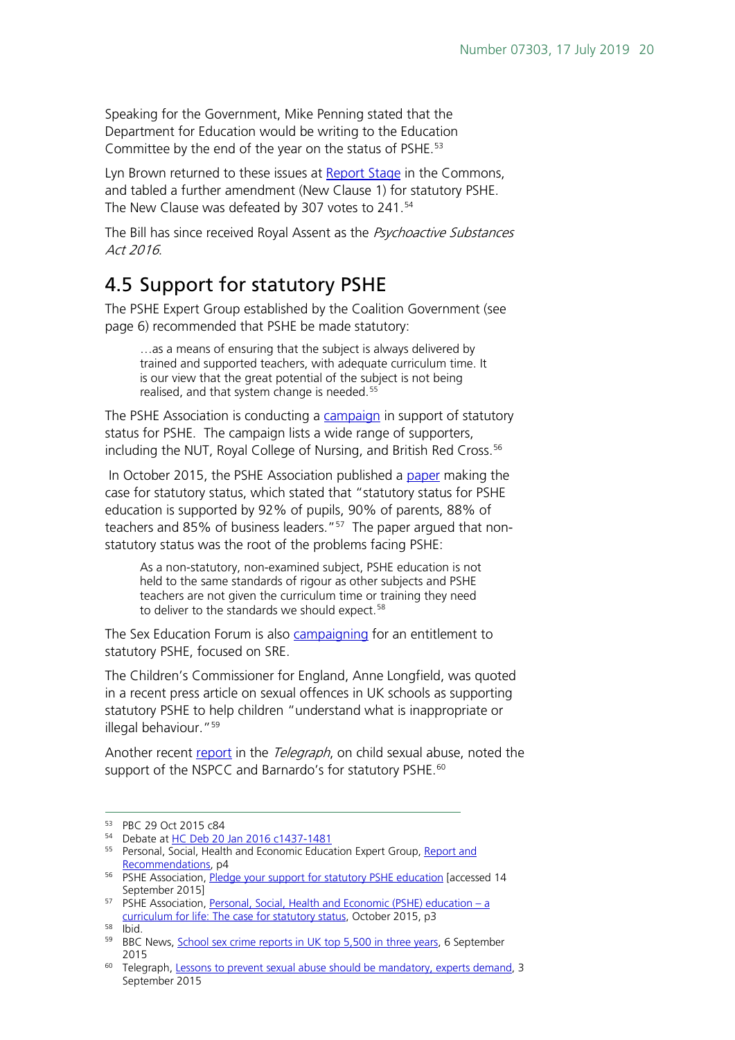Speaking for the Government, Mike Penning stated that the Department for Education would be writing to the Education Committee by the end of the year on the status of PSHE.<sup>[53](#page-19-1)</sup>

Lyn Brown returned to these issues at [Report Stage](http://www.publications.parliament.uk/pa/cm201516/cmhansrd/cm160120/debtext/160120-0001.htm#16012033000003) in the Commons, and tabled a further amendment (New Clause 1) for statutory PSHE. The New Clause was defeated by 307 votes to 241.<sup>[54](#page-19-2)</sup>

The Bill has since received Royal Assent as the Psychoactive Substances Act 2016.

### <span id="page-19-0"></span>4.5 Support for statutory PSHE

The PSHE Expert Group established by the Coalition Government (see page 6) recommended that PSHE be made statutory:

…as a means of ensuring that the subject is always delivered by trained and supported teachers, with adequate curriculum time. It is our view that the great potential of the subject is not being realised, and that system change is needed.<sup>[55](#page-19-3)</sup>

The PSHE Association is conducting a [campaign](https://pshe-association.org.uk/content.aspx?CategoryID=1183&ArticleID=1144) in support of statutory status for PSHE. The campaign lists a wide range of supporters, including the NUT, Royal College of Nursing, and British Red Cross.<sup>[56](#page-19-4)</sup>

In October 2015, the PSHE Association published a [paper](https://pshe-association.org.uk/uploads/media/17/8230.pdf) making the case for statutory status, which stated that "statutory status for PSHE education is supported by 92% of pupils, 90% of parents, 88% of teachers and 85% of business leaders."[57](#page-19-5) The paper argued that nonstatutory status was the root of the problems facing PSHE:

As a non-statutory, non-examined subject, PSHE education is not held to the same standards of rigour as other subjects and PSHE teachers are not given the curriculum time or training they need to deliver to the standards we should expect.<sup>[58](#page-19-6)</sup>

The Sex Education Forum is also [campaigning](http://www.sexeducationforum.org.uk/its-my-right) for an entitlement to statutory PSHE, focused on SRE.

The Children's Commissioner for England, Anne Longfield, was quoted in a recent press article on sexual offences in UK schools as supporting statutory PSHE to help children "understand what is inappropriate or illegal behaviour."[59](#page-19-7)

Another recent [report](http://www.telegraph.co.uk/education/educationnews/11841330/Lessons-to-prevent-sexual-abuse-should-be-mandatory-experts-demand.html) in the Telegraph, on child sexual abuse, noted the support of the NSPCC and Barnardo's for statutory PSHE.<sup>[60](#page-19-8)</sup>

<span id="page-19-1"></span> <sup>53</sup> PBC 29 Oct 2015 c84

<span id="page-19-2"></span><sup>54</sup> Debate at [HC Deb 20 Jan 2016 c1437-1481](http://www.publications.parliament.uk/pa/cm201516/cmhansrd/cm160120/debtext/160120-0001.htm#16012033000003)

<span id="page-19-3"></span><sup>&</sup>lt;sup>55</sup> Personal, Social, Health and Economic Education Expert Group, Report and [Recommendations,](https://pshe-association.org.uk/uploads/media/17/8025.pdf) p4

<span id="page-19-4"></span><sup>&</sup>lt;sup>56</sup> PSHE Association, [Pledge your support for statutory PSHE education](https://pshe-association.org.uk/content.aspx?CategoryID=1183&ArticleID=1144) [accessed 14 September 2015]

<span id="page-19-5"></span><sup>&</sup>lt;sup>57</sup> PSHE Association, [Personal, Social, Health and Economic \(PSHE\) education –](https://pshe-association.org.uk/uploads/media/17/8230.pdf) a [curriculum for life: The case for statutory status,](https://pshe-association.org.uk/uploads/media/17/8230.pdf) October 2015, p3

<span id="page-19-6"></span><sup>58</sup> Ibid.

<span id="page-19-7"></span><sup>59</sup> BBC News, [School sex crime reports in UK top 5,500 in three years,](http://www.bbc.co.uk/news/education-34138287) 6 September 2015

<span id="page-19-8"></span><sup>&</sup>lt;sup>60</sup> Telegraph, [Lessons to prevent sexual abuse should be mandatory, experts demand,](http://www.telegraph.co.uk/education/educationnews/11841330/Lessons-to-prevent-sexual-abuse-should-be-mandatory-experts-demand.html) 3 September 2015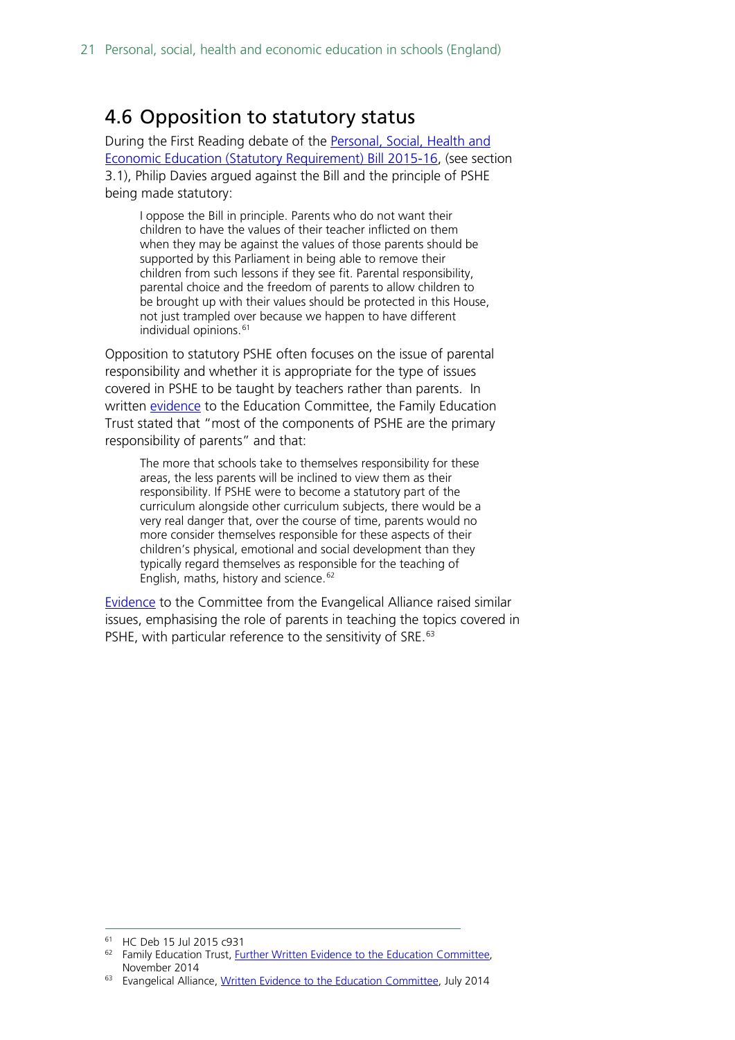### <span id="page-20-0"></span>4.6 Opposition to statutory status

During the First Reading debate of the [Personal, Social, Health and](http://services.parliament.uk/bills/2015-16/personalsocialhealthandeconomiceducationstatutoryrequirement.html)  [Economic Education \(Statutory Requirement\) Bill 2015-16,](http://services.parliament.uk/bills/2015-16/personalsocialhealthandeconomiceducationstatutoryrequirement.html) (see section 3.1), Philip Davies argued against the Bill and the principle of PSHE being made statutory:

I oppose the Bill in principle. Parents who do not want their children to have the values of their teacher inflicted on them when they may be against the values of those parents should be supported by this Parliament in being able to remove their children from such lessons if they see fit. Parental responsibility, parental choice and the freedom of parents to allow children to be brought up with their values should be protected in this House, not just trampled over because we happen to have different individual opinions.<sup>[61](#page-20-1)</sup>

Opposition to statutory PSHE often focuses on the issue of parental responsibility and whether it is appropriate for the type of issues covered in PSHE to be taught by teachers rather than parents. In written [evidence](http://data.parliament.uk/writtenevidence/committeeevidence.svc/evidencedocument/education-committee/personal-social-health-and-economic-education-and-sex-and-relationships-education-in-schools/written/15451.pdf) to the Education Committee, the Family Education Trust stated that "most of the components of PSHE are the primary responsibility of parents" and that:

The more that schools take to themselves responsibility for these areas, the less parents will be inclined to view them as their responsibility. If PSHE were to become a statutory part of the curriculum alongside other curriculum subjects, there would be a very real danger that, over the course of time, parents would no more consider themselves responsible for these aspects of their children's physical, emotional and social development than they typically regard themselves as responsible for the teaching of English, maths, history and science.<sup>[62](#page-20-2)</sup>

[Evidence](http://data.parliament.uk/writtenevidence/committeeevidence.svc/evidencedocument/education-committee/personal-social-health-and-economic-education-and-sex-and-relationships-education-in-schools/written/10091.pdf) to the Committee from the Evangelical Alliance raised similar issues, emphasising the role of parents in teaching the topics covered in PSHE, with particular reference to the sensitivity of SRE.<sup>[63](#page-20-3)</sup>

<span id="page-20-1"></span> <sup>61</sup> HC Deb 15 Jul 2015 c931

<span id="page-20-2"></span><sup>&</sup>lt;sup>62</sup> Family Education Trust, [Further Written Evidence to the Education Committee,](http://data.parliament.uk/writtenevidence/committeeevidence.svc/evidencedocument/education-committee/personal-social-health-and-economic-education-and-sex-and-relationships-education-in-schools/written/15451.pdf) November 2014

<span id="page-20-3"></span><sup>&</sup>lt;sup>63</sup> Evangelical Alliance[, Written Evidence to the Education Committee,](http://data.parliament.uk/writtenevidence/committeeevidence.svc/evidencedocument/education-committee/personal-social-health-and-economic-education-and-sex-and-relationships-education-in-schools/written/10091.pdf) July 2014